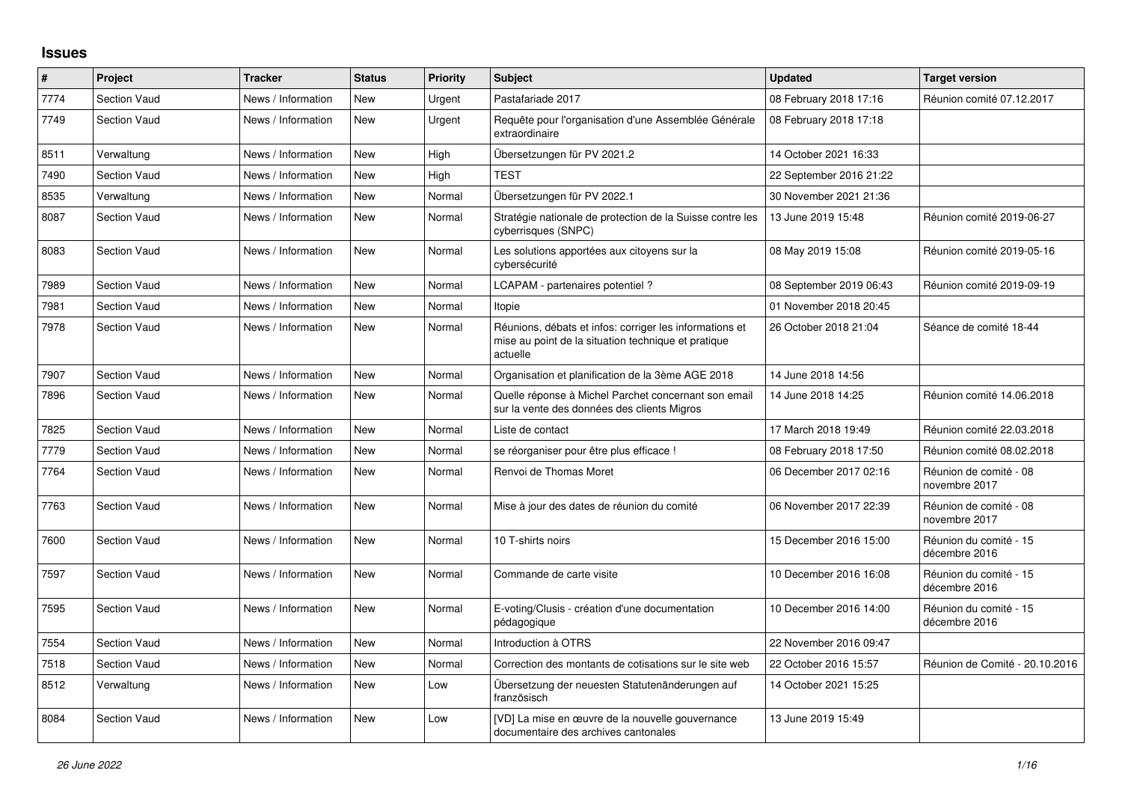## **Issues**

| $\#$ | Project             | <b>Tracker</b>     | <b>Status</b> | <b>Priority</b> | <b>Subject</b>                                                                                                             | <b>Updated</b>          | <b>Target version</b>                   |
|------|---------------------|--------------------|---------------|-----------------|----------------------------------------------------------------------------------------------------------------------------|-------------------------|-----------------------------------------|
| 7774 | <b>Section Vaud</b> | News / Information | <b>New</b>    | Urgent          | Pastafariade 2017                                                                                                          | 08 February 2018 17:16  | Réunion comité 07.12.2017               |
| 7749 | <b>Section Vaud</b> | News / Information | <b>New</b>    | Urgent          | Requête pour l'organisation d'une Assemblée Générale<br>extraordinaire                                                     | 08 February 2018 17:18  |                                         |
| 8511 | Verwaltung          | News / Information | <b>New</b>    | High            | Übersetzungen für PV 2021.2                                                                                                | 14 October 2021 16:33   |                                         |
| 7490 | <b>Section Vaud</b> | News / Information | <b>New</b>    | High            | <b>TEST</b>                                                                                                                | 22 September 2016 21:22 |                                         |
| 8535 | Verwaltung          | News / Information | <b>New</b>    | Normal          | Übersetzungen für PV 2022.1                                                                                                | 30 November 2021 21:36  |                                         |
| 8087 | <b>Section Vaud</b> | News / Information | New           | Normal          | Stratégie nationale de protection de la Suisse contre les<br>cyberrisques (SNPC)                                           | 13 June 2019 15:48      | Réunion comité 2019-06-27               |
| 8083 | <b>Section Vaud</b> | News / Information | New           | Normal          | Les solutions apportées aux citoyens sur la<br>cybersécurité                                                               | 08 May 2019 15:08       | Réunion comité 2019-05-16               |
| 7989 | <b>Section Vaud</b> | News / Information | <b>New</b>    | Normal          | LCAPAM - partenaires potentiel?                                                                                            | 08 September 2019 06:43 | Réunion comité 2019-09-19               |
| 7981 | <b>Section Vaud</b> | News / Information | <b>New</b>    | Normal          | Itopie                                                                                                                     | 01 November 2018 20:45  |                                         |
| 7978 | <b>Section Vaud</b> | News / Information | <b>New</b>    | Normal          | Réunions, débats et infos: corriger les informations et<br>mise au point de la situation technique et pratique<br>actuelle | 26 October 2018 21:04   | Séance de comité 18-44                  |
| 7907 | <b>Section Vaud</b> | News / Information | <b>New</b>    | Normal          | Organisation et planification de la 3ème AGE 2018                                                                          | 14 June 2018 14:56      |                                         |
| 7896 | <b>Section Vaud</b> | News / Information | <b>New</b>    | Normal          | Quelle réponse à Michel Parchet concernant son email<br>sur la vente des données des clients Migros                        | 14 June 2018 14:25      | Réunion comité 14.06.2018               |
| 7825 | <b>Section Vaud</b> | News / Information | New           | Normal          | Liste de contact                                                                                                           | 17 March 2018 19:49     | Réunion comité 22.03.2018               |
| 7779 | <b>Section Vaud</b> | News / Information | <b>New</b>    | Normal          | se réorganiser pour être plus efficace !                                                                                   | 08 February 2018 17:50  | Réunion comité 08.02.2018               |
| 7764 | <b>Section Vaud</b> | News / Information | <b>New</b>    | Normal          | Renvoi de Thomas Moret                                                                                                     | 06 December 2017 02:16  | Réunion de comité - 08<br>novembre 2017 |
| 7763 | <b>Section Vaud</b> | News / Information | <b>New</b>    | Normal          | Mise à jour des dates de réunion du comité                                                                                 | 06 November 2017 22:39  | Réunion de comité - 08<br>novembre 2017 |
| 7600 | <b>Section Vaud</b> | News / Information | <b>New</b>    | Normal          | 10 T-shirts noirs                                                                                                          | 15 December 2016 15:00  | Réunion du comité - 15<br>décembre 2016 |
| 7597 | <b>Section Vaud</b> | News / Information | <b>New</b>    | Normal          | Commande de carte visite                                                                                                   | 10 December 2016 16:08  | Réunion du comité - 15<br>décembre 2016 |
| 7595 | <b>Section Vaud</b> | News / Information | <b>New</b>    | Normal          | E-voting/Clusis - création d'une documentation<br>pédagogique                                                              | 10 December 2016 14:00  | Réunion du comité - 15<br>décembre 2016 |
| 7554 | <b>Section Vaud</b> | News / Information | New           | Normal          | Introduction à OTRS                                                                                                        | 22 November 2016 09:47  |                                         |
| 7518 | <b>Section Vaud</b> | News / Information | <b>New</b>    | Normal          | Correction des montants de cotisations sur le site web                                                                     | 22 October 2016 15:57   | Réunion de Comité - 20.10.2016          |
| 8512 | Verwaltung          | News / Information | <b>New</b>    | Low             | Übersetzung der neuesten Statutenänderungen auf<br>französisch                                                             | 14 October 2021 15:25   |                                         |
| 8084 | <b>Section Vaud</b> | News / Information | <b>New</b>    | Low             | [VD] La mise en œuvre de la nouvelle gouvernance<br>documentaire des archives cantonales                                   | 13 June 2019 15:49      |                                         |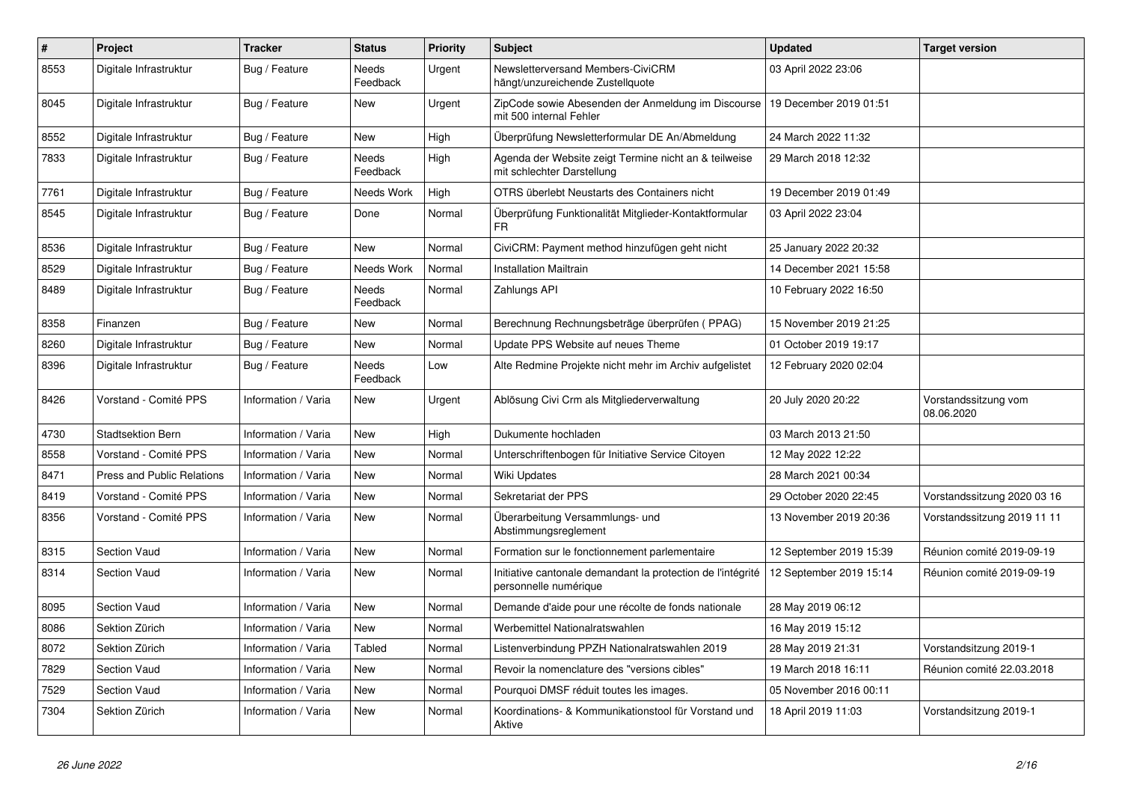| $\#$ | Project                           | <b>Tracker</b>      | <b>Status</b>            | <b>Priority</b> | <b>Subject</b>                                                                       | <b>Updated</b>          | <b>Target version</b>              |
|------|-----------------------------------|---------------------|--------------------------|-----------------|--------------------------------------------------------------------------------------|-------------------------|------------------------------------|
| 8553 | Digitale Infrastruktur            | Bug / Feature       | Needs<br>Feedback        | Urgent          | Newsletterversand Members-CiviCRM<br>hängt/unzureichende Zustellquote                | 03 April 2022 23:06     |                                    |
| 8045 | Digitale Infrastruktur            | Bug / Feature       | New                      | Urgent          | ZipCode sowie Abesenden der Anmeldung im Discourse<br>mit 500 internal Fehler        | 19 December 2019 01:51  |                                    |
| 8552 | Digitale Infrastruktur            | Bug / Feature       | <b>New</b>               | High            | Überprüfung Newsletterformular DE An/Abmeldung                                       | 24 March 2022 11:32     |                                    |
| 7833 | Digitale Infrastruktur            | Bug / Feature       | <b>Needs</b><br>Feedback | High            | Agenda der Website zeigt Termine nicht an & teilweise<br>mit schlechter Darstellung  | 29 March 2018 12:32     |                                    |
| 7761 | Digitale Infrastruktur            | Bug / Feature       | Needs Work               | High            | OTRS überlebt Neustarts des Containers nicht                                         | 19 December 2019 01:49  |                                    |
| 8545 | Digitale Infrastruktur            | Bug / Feature       | Done                     | Normal          | Überprüfung Funktionalität Mitglieder-Kontaktformular<br>FR                          | 03 April 2022 23:04     |                                    |
| 8536 | Digitale Infrastruktur            | Bug / Feature       | <b>New</b>               | Normal          | CiviCRM: Payment method hinzufügen geht nicht                                        | 25 January 2022 20:32   |                                    |
| 8529 | Digitale Infrastruktur            | Bug / Feature       | Needs Work               | Normal          | <b>Installation Mailtrain</b>                                                        | 14 December 2021 15:58  |                                    |
| 8489 | Digitale Infrastruktur            | Bug / Feature       | <b>Needs</b><br>Feedback | Normal          | Zahlungs API                                                                         | 10 February 2022 16:50  |                                    |
| 8358 | Finanzen                          | Bug / Feature       | <b>New</b>               | Normal          | Berechnung Rechnungsbeträge überprüfen (PPAG)                                        | 15 November 2019 21:25  |                                    |
| 8260 | Digitale Infrastruktur            | Bug / Feature       | <b>New</b>               | Normal          | Update PPS Website auf neues Theme                                                   | 01 October 2019 19:17   |                                    |
| 8396 | Digitale Infrastruktur            | Bug / Feature       | Needs<br>Feedback        | Low             | Alte Redmine Projekte nicht mehr im Archiv aufgelistet                               | 12 February 2020 02:04  |                                    |
| 8426 | Vorstand - Comité PPS             | Information / Varia | <b>New</b>               | Urgent          | Ablösung Civi Crm als Mitgliederverwaltung                                           | 20 July 2020 20:22      | Vorstandssitzung vom<br>08.06.2020 |
| 4730 | <b>Stadtsektion Bern</b>          | Information / Varia | <b>New</b>               | High            | Dukumente hochladen                                                                  | 03 March 2013 21:50     |                                    |
| 8558 | Vorstand - Comité PPS             | Information / Varia | <b>New</b>               | Normal          | Unterschriftenbogen für Initiative Service Citoyen                                   | 12 May 2022 12:22       |                                    |
| 8471 | <b>Press and Public Relations</b> | Information / Varia | <b>New</b>               | Normal          | Wiki Updates                                                                         | 28 March 2021 00:34     |                                    |
| 8419 | Vorstand - Comité PPS             | Information / Varia | <b>New</b>               | Normal          | Sekretariat der PPS                                                                  | 29 October 2020 22:45   | Vorstandssitzung 2020 03 16        |
| 8356 | Vorstand - Comité PPS             | Information / Varia | <b>New</b>               | Normal          | Überarbeitung Versammlungs- und<br>Abstimmungsreglement                              | 13 November 2019 20:36  | Vorstandssitzung 2019 11 11        |
| 8315 | <b>Section Vaud</b>               | Information / Varia | <b>New</b>               | Normal          | Formation sur le fonctionnement parlementaire                                        | 12 September 2019 15:39 | Réunion comité 2019-09-19          |
| 8314 | <b>Section Vaud</b>               | Information / Varia | <b>New</b>               | Normal          | Initiative cantonale demandant la protection de l'intégrité<br>personnelle numérique | 12 September 2019 15:14 | Réunion comité 2019-09-19          |
| 8095 | Section Vaud                      | Information / Varia | <b>New</b>               | Normal          | Demande d'aide pour une récolte de fonds nationale                                   | 28 May 2019 06:12       |                                    |
| 8086 | Sektion Zürich                    | Information / Varia | <b>New</b>               | Normal          | Werbemittel Nationalratswahlen                                                       | 16 May 2019 15:12       |                                    |
| 8072 | Sektion Zürich                    | Information / Varia | <b>Tabled</b>            | Normal          | Listenverbindung PPZH Nationalratswahlen 2019                                        | 28 May 2019 21:31       | Vorstandsitzung 2019-1             |
| 7829 | <b>Section Vaud</b>               | Information / Varia | <b>New</b>               | Normal          | Revoir la nomenclature des "versions cibles"                                         | 19 March 2018 16:11     | Réunion comité 22.03.2018          |
| 7529 | Section Vaud                      | Information / Varia | <b>New</b>               | Normal          | Pourquoi DMSF réduit toutes les images.                                              | 05 November 2016 00:11  |                                    |
| 7304 | Sektion Zürich                    | Information / Varia | <b>New</b>               | Normal          | Koordinations- & Kommunikationstool für Vorstand und<br>Aktive                       | 18 April 2019 11:03     | Vorstandsitzung 2019-1             |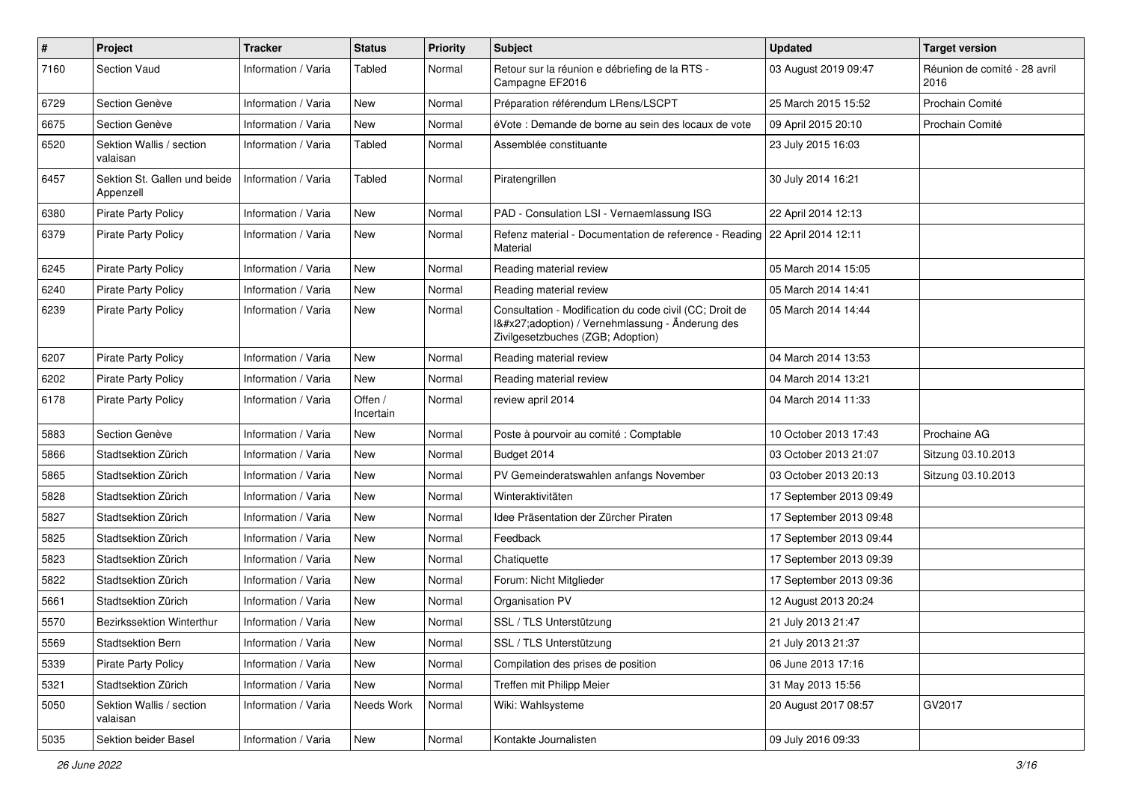| $\pmb{\#}$ | Project                                   | <b>Tracker</b>      | <b>Status</b>        | <b>Priority</b> | <b>Subject</b>                                                                                                                              | <b>Updated</b>          | <b>Target version</b>                |
|------------|-------------------------------------------|---------------------|----------------------|-----------------|---------------------------------------------------------------------------------------------------------------------------------------------|-------------------------|--------------------------------------|
| 7160       | Section Vaud                              | Information / Varia | Tabled               | Normal          | Retour sur la réunion e débriefing de la RTS -<br>Campagne EF2016                                                                           | 03 August 2019 09:47    | Réunion de comité - 28 avril<br>2016 |
| 6729       | Section Genève                            | Information / Varia | <b>New</b>           | Normal          | Préparation référendum LRens/LSCPT                                                                                                          | 25 March 2015 15:52     | Prochain Comité                      |
| 6675       | Section Genève                            | Information / Varia | <b>New</b>           | Normal          | éVote : Demande de borne au sein des locaux de vote                                                                                         | 09 April 2015 20:10     | Prochain Comité                      |
| 6520       | Sektion Wallis / section<br>valaisan      | Information / Varia | Tabled               | Normal          | Assemblée constituante                                                                                                                      | 23 July 2015 16:03      |                                      |
| 6457       | Sektion St. Gallen und beide<br>Appenzell | Information / Varia | Tabled               | Normal          | Piratengrillen                                                                                                                              | 30 July 2014 16:21      |                                      |
| 6380       | <b>Pirate Party Policy</b>                | Information / Varia | <b>New</b>           | Normal          | PAD - Consulation LSI - Vernaemlassung ISG                                                                                                  | 22 April 2014 12:13     |                                      |
| 6379       | <b>Pirate Party Policy</b>                | Information / Varia | <b>New</b>           | Normal          | Refenz material - Documentation de reference - Reading<br>Material                                                                          | 22 April 2014 12:11     |                                      |
| 6245       | <b>Pirate Party Policy</b>                | Information / Varia | <b>New</b>           | Normal          | Reading material review                                                                                                                     | 05 March 2014 15:05     |                                      |
| 6240       | <b>Pirate Party Policy</b>                | Information / Varia | <b>New</b>           | Normal          | Reading material review                                                                                                                     | 05 March 2014 14:41     |                                      |
| 6239       | <b>Pirate Party Policy</b>                | Information / Varia | New                  | Normal          | Consultation - Modification du code civil (CC; Droit de<br>I'adoption) / Vernehmlassung - Änderung des<br>Zivilgesetzbuches (ZGB; Adoption) | 05 March 2014 14:44     |                                      |
| 6207       | <b>Pirate Party Policy</b>                | Information / Varia | <b>New</b>           | Normal          | Reading material review                                                                                                                     | 04 March 2014 13:53     |                                      |
| 6202       | <b>Pirate Party Policy</b>                | Information / Varia | <b>New</b>           | Normal          | Reading material review                                                                                                                     | 04 March 2014 13:21     |                                      |
| 6178       | <b>Pirate Party Policy</b>                | Information / Varia | Offen /<br>Incertain | Normal          | review april 2014                                                                                                                           | 04 March 2014 11:33     |                                      |
| 5883       | Section Genève                            | Information / Varia | <b>New</b>           | Normal          | Poste à pourvoir au comité : Comptable                                                                                                      | 10 October 2013 17:43   | Prochaine AG                         |
| 5866       | Stadtsektion Zürich                       | Information / Varia | New                  | Normal          | Budget 2014                                                                                                                                 | 03 October 2013 21:07   | Sitzung 03.10.2013                   |
| 5865       | Stadtsektion Zürich                       | Information / Varia | <b>New</b>           | Normal          | PV Gemeinderatswahlen anfangs November                                                                                                      | 03 October 2013 20:13   | Sitzung 03.10.2013                   |
| 5828       | Stadtsektion Zürich                       | Information / Varia | <b>New</b>           | Normal          | Winteraktivitäten                                                                                                                           | 17 September 2013 09:49 |                                      |
| 5827       | Stadtsektion Zürich                       | Information / Varia | <b>New</b>           | Normal          | Idee Präsentation der Zürcher Piraten                                                                                                       | 17 September 2013 09:48 |                                      |
| 5825       | Stadtsektion Zürich                       | Information / Varia | <b>New</b>           | Normal          | Feedback                                                                                                                                    | 17 September 2013 09:44 |                                      |
| 5823       | Stadtsektion Zürich                       | Information / Varia | New                  | Normal          | Chatiquette                                                                                                                                 | 17 September 2013 09:39 |                                      |
| 5822       | Stadtsektion Zürich                       | Information / Varia | <b>New</b>           | Normal          | Forum: Nicht Mitglieder                                                                                                                     | 17 September 2013 09:36 |                                      |
| 5661       | Stadtsektion Zürich                       | Information / Varia | <b>New</b>           | Normal          | Organisation PV                                                                                                                             | 12 August 2013 20:24    |                                      |
| 5570       | Bezirkssektion Winterthur                 | Information / Varia | New                  | Normal          | SSL / TLS Unterstützung                                                                                                                     | 21 July 2013 21:47      |                                      |
| 5569       | Stadtsektion Bern                         | Information / Varia | New                  | Normal          | SSL / TLS Unterstützung                                                                                                                     | 21 July 2013 21:37      |                                      |
| 5339       | Pirate Party Policy                       | Information / Varia | New                  | Normal          | Compilation des prises de position                                                                                                          | 06 June 2013 17:16      |                                      |
| 5321       | Stadtsektion Zürich                       | Information / Varia | New                  | Normal          | Treffen mit Philipp Meier                                                                                                                   | 31 May 2013 15:56       |                                      |
| 5050       | Sektion Wallis / section<br>valaisan      | Information / Varia | Needs Work           | Normal          | Wiki: Wahlsysteme                                                                                                                           | 20 August 2017 08:57    | GV2017                               |
| 5035       | Sektion beider Basel                      | Information / Varia | New                  | Normal          | Kontakte Journalisten                                                                                                                       | 09 July 2016 09:33      |                                      |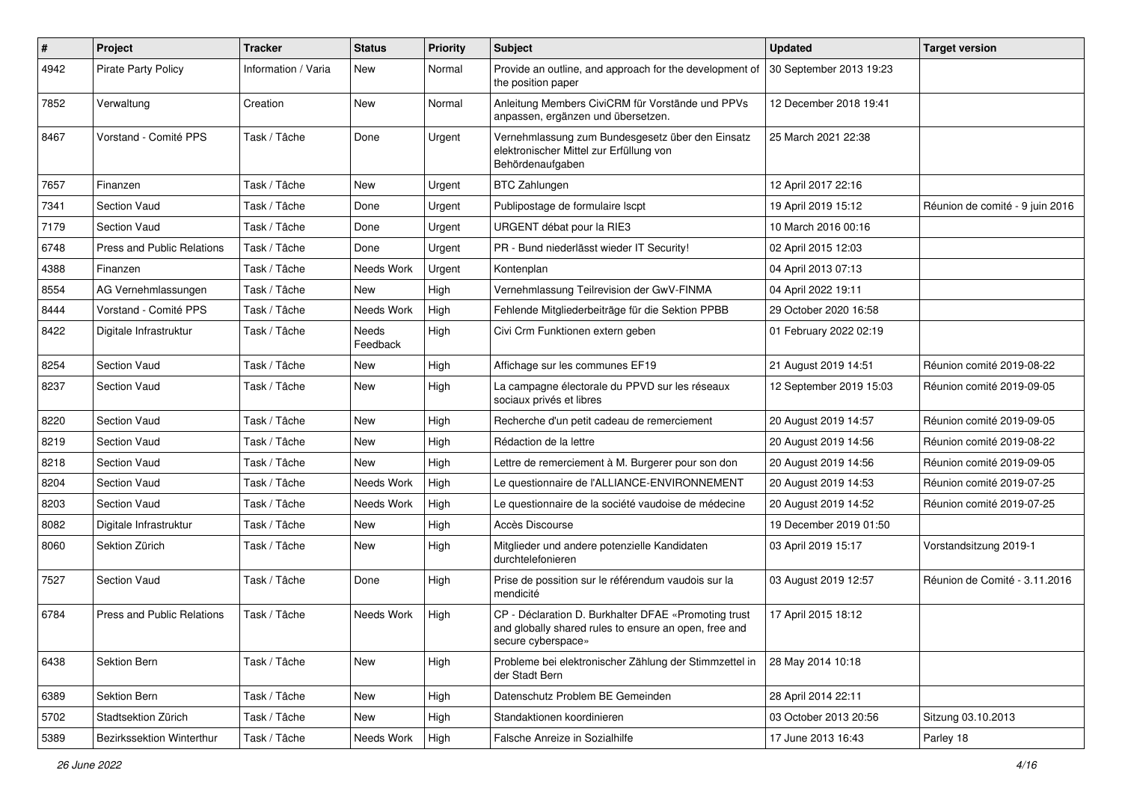| $\pmb{\#}$ | Project                           | <b>Tracker</b>      | <b>Status</b>     | <b>Priority</b> | Subject                                                                                                                             | <b>Updated</b>          | <b>Target version</b>           |
|------------|-----------------------------------|---------------------|-------------------|-----------------|-------------------------------------------------------------------------------------------------------------------------------------|-------------------------|---------------------------------|
| 4942       | <b>Pirate Party Policy</b>        | Information / Varia | New               | Normal          | Provide an outline, and approach for the development of<br>the position paper                                                       | 30 September 2013 19:23 |                                 |
| 7852       | Verwaltung                        | Creation            | New               | Normal          | Anleitung Members CiviCRM für Vorstände und PPVs<br>anpassen, ergänzen und übersetzen.                                              | 12 December 2018 19:41  |                                 |
| 8467       | Vorstand - Comité PPS             | Task / Tâche        | Done              | Urgent          | Vernehmlassung zum Bundesgesetz über den Einsatz<br>elektronischer Mittel zur Erfüllung von<br>Behördenaufgaben                     | 25 March 2021 22:38     |                                 |
| 7657       | Finanzen                          | Task / Tâche        | New               | Urgent          | <b>BTC Zahlungen</b>                                                                                                                | 12 April 2017 22:16     |                                 |
| 7341       | <b>Section Vaud</b>               | Task / Tâche        | Done              | Urgent          | Publipostage de formulaire Iscpt                                                                                                    | 19 April 2019 15:12     | Réunion de comité - 9 juin 2016 |
| 7179       | <b>Section Vaud</b>               | Task / Tâche        | Done              | Urgent          | URGENT débat pour la RIE3                                                                                                           | 10 March 2016 00:16     |                                 |
| 6748       | <b>Press and Public Relations</b> | Task / Tâche        | Done              | Urgent          | PR - Bund niederlässt wieder IT Security!                                                                                           | 02 April 2015 12:03     |                                 |
| 4388       | Finanzen                          | Task / Tâche        | Needs Work        | Urgent          | Kontenplan                                                                                                                          | 04 April 2013 07:13     |                                 |
| 8554       | AG Vernehmlassungen               | Task / Tâche        | New               | High            | Vernehmlassung Teilrevision der GwV-FINMA                                                                                           | 04 April 2022 19:11     |                                 |
| 8444       | Vorstand - Comité PPS             | Task / Tâche        | Needs Work        | High            | Fehlende Mitgliederbeiträge für die Sektion PPBB                                                                                    | 29 October 2020 16:58   |                                 |
| 8422       | Digitale Infrastruktur            | Task / Tâche        | Needs<br>Feedback | High            | Civi Crm Funktionen extern geben                                                                                                    | 01 February 2022 02:19  |                                 |
| 8254       | <b>Section Vaud</b>               | Task / Tâche        | <b>New</b>        | High            | Affichage sur les communes EF19                                                                                                     | 21 August 2019 14:51    | Réunion comité 2019-08-22       |
| 8237       | <b>Section Vaud</b>               | Task / Tâche        | New               | High            | La campagne électorale du PPVD sur les réseaux<br>sociaux privés et libres                                                          | 12 September 2019 15:03 | Réunion comité 2019-09-05       |
| 8220       | Section Vaud                      | Task / Tâche        | <b>New</b>        | High            | Recherche d'un petit cadeau de remerciement                                                                                         | 20 August 2019 14:57    | Réunion comité 2019-09-05       |
| 8219       | <b>Section Vaud</b>               | Task / Tâche        | New               | High            | Rédaction de la lettre                                                                                                              | 20 August 2019 14:56    | Réunion comité 2019-08-22       |
| 8218       | <b>Section Vaud</b>               | Task / Tâche        | New               | High            | Lettre de remerciement à M. Burgerer pour son don                                                                                   | 20 August 2019 14:56    | Réunion comité 2019-09-05       |
| 8204       | <b>Section Vaud</b>               | Task / Tâche        | Needs Work        | High            | Le questionnaire de l'ALLIANCE-ENVIRONNEMENT                                                                                        | 20 August 2019 14:53    | Réunion comité 2019-07-25       |
| 8203       | Section Vaud                      | Task / Tâche        | Needs Work        | High            | Le questionnaire de la société vaudoise de médecine                                                                                 | 20 August 2019 14:52    | Réunion comité 2019-07-25       |
| 8082       | Digitale Infrastruktur            | Task / Tâche        | New               | High            | Accès Discourse                                                                                                                     | 19 December 2019 01:50  |                                 |
| 8060       | Sektion Zürich                    | Task / Tâche        | <b>New</b>        | High            | Mitglieder und andere potenzielle Kandidaten<br>durchtelefonieren                                                                   | 03 April 2019 15:17     | Vorstandsitzung 2019-1          |
| 7527       | <b>Section Vaud</b>               | Task / Tâche        | Done              | High            | Prise de possition sur le référendum vaudois sur la<br>mendicité                                                                    | 03 August 2019 12:57    | Réunion de Comité - 3.11.2016   |
| 6784       | <b>Press and Public Relations</b> | Task / Tâche        | Needs Work        | High            | CP - Déclaration D. Burkhalter DFAE «Promoting trust<br>and globally shared rules to ensure an open, free and<br>secure cyberspace» | 17 April 2015 18:12     |                                 |
| 6438       | Sektion Bern                      | Task / Tâche        | New               | High            | Probleme bei elektronischer Zählung der Stimmzettel in<br>der Stadt Bern                                                            | 28 May 2014 10:18       |                                 |
| 6389       | Sektion Bern                      | Task / Tâche        | New               | High            | Datenschutz Problem BE Gemeinden                                                                                                    | 28 April 2014 22:11     |                                 |
| 5702       | Stadtsektion Zürich               | Task / Tâche        | New               | High            | Standaktionen koordinieren                                                                                                          | 03 October 2013 20:56   | Sitzung 03.10.2013              |
| 5389       | Bezirkssektion Winterthur         | Task / Tâche        | Needs Work        | High            | Falsche Anreize in Sozialhilfe                                                                                                      | 17 June 2013 16:43      | Parley 18                       |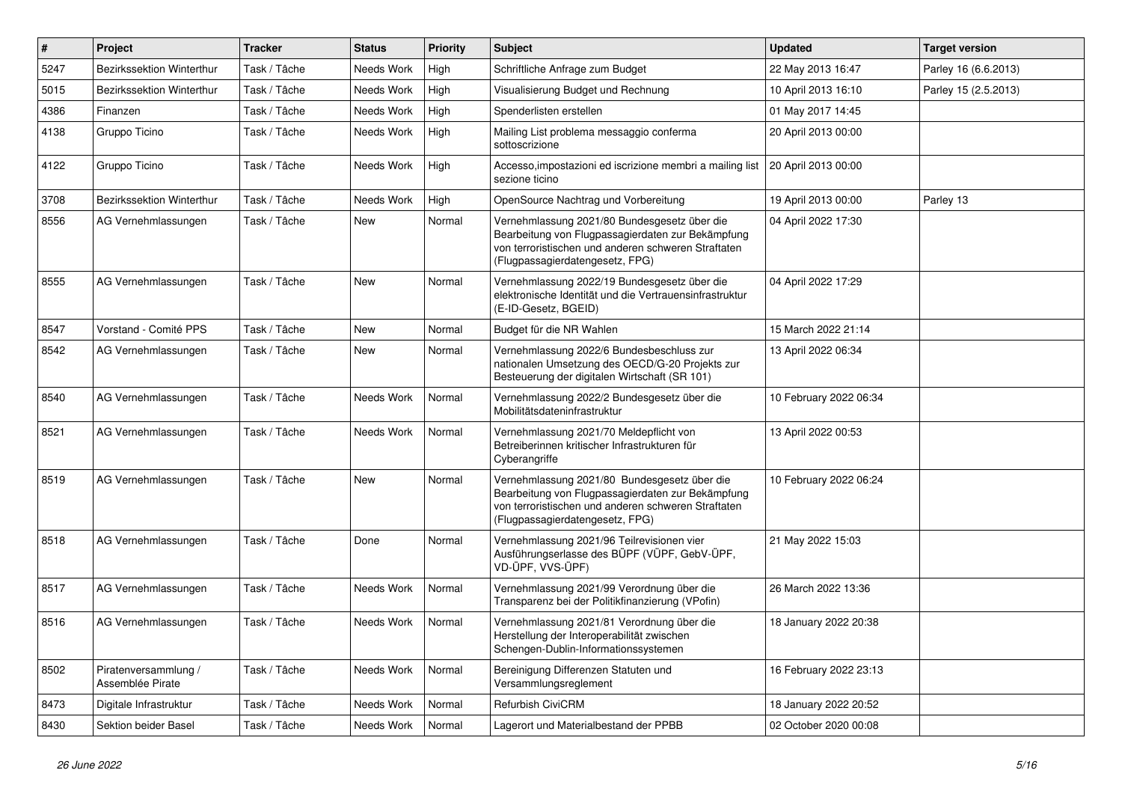| $\sharp$ | Project                                  | <b>Tracker</b> | <b>Status</b> | <b>Priority</b> | Subject                                                                                                                                                                                     | <b>Updated</b>         | <b>Target version</b> |
|----------|------------------------------------------|----------------|---------------|-----------------|---------------------------------------------------------------------------------------------------------------------------------------------------------------------------------------------|------------------------|-----------------------|
| 5247     | Bezirkssektion Winterthur                | Task / Tâche   | Needs Work    | High            | Schriftliche Anfrage zum Budget                                                                                                                                                             | 22 May 2013 16:47      | Parley 16 (6.6.2013)  |
| 5015     | Bezirkssektion Winterthur                | Task / Tâche   | Needs Work    | High            | Visualisierung Budget und Rechnung                                                                                                                                                          | 10 April 2013 16:10    | Parley 15 (2.5.2013)  |
| 4386     | Finanzen                                 | Task / Tâche   | Needs Work    | High            | Spenderlisten erstellen                                                                                                                                                                     | 01 May 2017 14:45      |                       |
| 4138     | Gruppo Ticino                            | Task / Tâche   | Needs Work    | High            | Mailing List problema messaggio conferma<br>sottoscrizione                                                                                                                                  | 20 April 2013 00:00    |                       |
| 4122     | Gruppo Ticino                            | Task / Tâche   | Needs Work    | High            | Accesso, impostazioni ed iscrizione membri a mailing list<br>sezione ticino                                                                                                                 | 20 April 2013 00:00    |                       |
| 3708     | Bezirkssektion Winterthur                | Task / Tâche   | Needs Work    | High            | OpenSource Nachtrag und Vorbereitung                                                                                                                                                        | 19 April 2013 00:00    | Parley 13             |
| 8556     | AG Vernehmlassungen                      | Task / Tâche   | New           | Normal          | Vernehmlassung 2021/80 Bundesgesetz über die<br>Bearbeitung von Flugpassagierdaten zur Bekämpfung<br>von terroristischen und anderen schweren Straftaten<br>(Flugpassagierdatengesetz, FPG) | 04 April 2022 17:30    |                       |
| 8555     | AG Vernehmlassungen                      | Task / Tâche   | <b>New</b>    | Normal          | Vernehmlassung 2022/19 Bundesgesetz über die<br>elektronische Identität und die Vertrauensinfrastruktur<br>(E-ID-Gesetz, BGEID)                                                             | 04 April 2022 17:29    |                       |
| 8547     | Vorstand - Comité PPS                    | Task / Tâche   | <b>New</b>    | Normal          | Budget für die NR Wahlen                                                                                                                                                                    | 15 March 2022 21:14    |                       |
| 8542     | AG Vernehmlassungen                      | Task / Tâche   | New           | Normal          | Vernehmlassung 2022/6 Bundesbeschluss zur<br>nationalen Umsetzung des OECD/G-20 Projekts zur<br>Besteuerung der digitalen Wirtschaft (SR 101)                                               | 13 April 2022 06:34    |                       |
| 8540     | AG Vernehmlassungen                      | Task / Tâche   | Needs Work    | Normal          | Vernehmlassung 2022/2 Bundesgesetz über die<br>Mobilitätsdateninfrastruktur                                                                                                                 | 10 February 2022 06:34 |                       |
| 8521     | AG Vernehmlassungen                      | Task / Tâche   | Needs Work    | Normal          | Vernehmlassung 2021/70 Meldepflicht von<br>Betreiberinnen kritischer Infrastrukturen für<br>Cyberangriffe                                                                                   | 13 April 2022 00:53    |                       |
| 8519     | AG Vernehmlassungen                      | Task / Tâche   | <b>New</b>    | Normal          | Vernehmlassung 2021/80 Bundesgesetz über die<br>Bearbeitung von Flugpassagierdaten zur Bekämpfung<br>von terroristischen und anderen schweren Straftaten<br>(Flugpassagierdatengesetz, FPG) | 10 February 2022 06:24 |                       |
| 8518     | AG Vernehmlassungen                      | Task / Tâche   | Done          | Normal          | Vernehmlassung 2021/96 Teilrevisionen vier<br>Ausführungserlasse des BÜPF (VÜPF, GebV-ÜPF,<br>VD-ÜPF, VVS-ÜPF)                                                                              | 21 May 2022 15:03      |                       |
| 8517     | AG Vernehmlassungen                      | Task / Tâche   | Needs Work    | Normal          | Vernehmlassung 2021/99 Verordnung über die<br>Transparenz bei der Politikfinanzierung (VPofin)                                                                                              | 26 March 2022 13:36    |                       |
| 8516     | AG Vernehmlassungen                      | Task / Tâche   | Needs Work    | Normal          | Vernehmlassung 2021/81 Verordnung über die<br>Herstellung der Interoperabilität zwischen<br>Schengen-Dublin-Informationssystemen                                                            | 18 January 2022 20:38  |                       |
| 8502     | Piratenversammlung /<br>Assemblée Pirate | Task / Tâche   | Needs Work    | Normal          | Bereinigung Differenzen Statuten und<br>Versammlungsreglement                                                                                                                               | 16 February 2022 23:13 |                       |
| 8473     | Digitale Infrastruktur                   | Task / Tâche   | Needs Work    | Normal          | Refurbish CiviCRM                                                                                                                                                                           | 18 January 2022 20:52  |                       |
| 8430     | Sektion beider Basel                     | Task / Tâche   | Needs Work    | Normal          | Lagerort und Materialbestand der PPBB                                                                                                                                                       | 02 October 2020 00:08  |                       |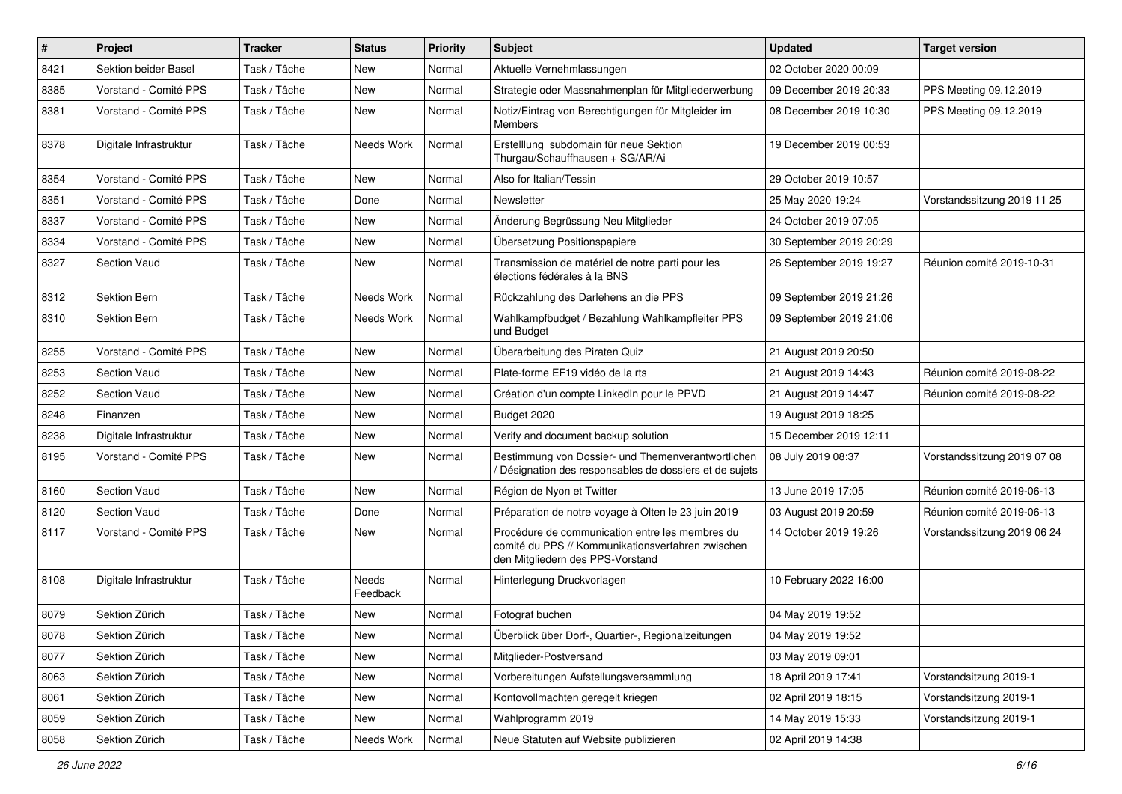| $\#$ | Project                | <b>Tracker</b> | <b>Status</b>     | <b>Priority</b> | <b>Subject</b>                                                                                                                           | <b>Updated</b>          | <b>Target version</b>       |
|------|------------------------|----------------|-------------------|-----------------|------------------------------------------------------------------------------------------------------------------------------------------|-------------------------|-----------------------------|
| 8421 | Sektion beider Basel   | Task / Tâche   | New               | Normal          | Aktuelle Vernehmlassungen                                                                                                                | 02 October 2020 00:09   |                             |
| 8385 | Vorstand - Comité PPS  | Task / Tâche   | New               | Normal          | Strategie oder Massnahmenplan für Mitgliederwerbung                                                                                      | 09 December 2019 20:33  | PPS Meeting 09.12.2019      |
| 8381 | Vorstand - Comité PPS  | Task / Tâche   | New               | Normal          | Notiz/Eintrag von Berechtigungen für Mitgleider im<br>Members                                                                            | 08 December 2019 10:30  | PPS Meeting 09.12.2019      |
| 8378 | Digitale Infrastruktur | Task / Tâche   | Needs Work        | Normal          | Erstelllung subdomain für neue Sektion<br>Thurgau/Schauffhausen + SG/AR/Ai                                                               | 19 December 2019 00:53  |                             |
| 8354 | Vorstand - Comité PPS  | Task / Tâche   | New               | Normal          | Also for Italian/Tessin                                                                                                                  | 29 October 2019 10:57   |                             |
| 8351 | Vorstand - Comité PPS  | Task / Tâche   | Done              | Normal          | Newsletter                                                                                                                               | 25 May 2020 19:24       | Vorstandssitzung 2019 11 25 |
| 8337 | Vorstand - Comité PPS  | Task / Tâche   | New               | Normal          | Änderung Begrüssung Neu Mitglieder                                                                                                       | 24 October 2019 07:05   |                             |
| 8334 | Vorstand - Comité PPS  | Task / Tâche   | New               | Normal          | Übersetzung Positionspapiere                                                                                                             | 30 September 2019 20:29 |                             |
| 8327 | <b>Section Vaud</b>    | Task / Tâche   | New               | Normal          | Transmission de matériel de notre parti pour les<br>élections fédérales à la BNS                                                         | 26 September 2019 19:27 | Réunion comité 2019-10-31   |
| 8312 | Sektion Bern           | Task / Tâche   | Needs Work        | Normal          | Rückzahlung des Darlehens an die PPS                                                                                                     | 09 September 2019 21:26 |                             |
| 8310 | Sektion Bern           | Task / Tâche   | Needs Work        | Normal          | Wahlkampfbudget / Bezahlung Wahlkampfleiter PPS<br>und Budget                                                                            | 09 September 2019 21:06 |                             |
| 8255 | Vorstand - Comité PPS  | Task / Tâche   | New               | Normal          | Überarbeitung des Piraten Quiz                                                                                                           | 21 August 2019 20:50    |                             |
| 8253 | <b>Section Vaud</b>    | Task / Tâche   | New               | Normal          | Plate-forme EF19 vidéo de la rts                                                                                                         | 21 August 2019 14:43    | Réunion comité 2019-08-22   |
| 8252 | <b>Section Vaud</b>    | Task / Tâche   | New               | Normal          | Création d'un compte LinkedIn pour le PPVD                                                                                               | 21 August 2019 14:47    | Réunion comité 2019-08-22   |
| 8248 | Finanzen               | Task / Tâche   | New               | Normal          | Budget 2020                                                                                                                              | 19 August 2019 18:25    |                             |
| 8238 | Digitale Infrastruktur | Task / Tâche   | New               | Normal          | Verify and document backup solution                                                                                                      | 15 December 2019 12:11  |                             |
| 8195 | Vorstand - Comité PPS  | Task / Tâche   | New               | Normal          | Bestimmung von Dossier- und Themenverantwortlichen<br>Désignation des responsables de dossiers et de sujets                              | 08 July 2019 08:37      | Vorstandssitzung 2019 07 08 |
| 8160 | <b>Section Vaud</b>    | Task / Tâche   | New               | Normal          | Région de Nyon et Twitter                                                                                                                | 13 June 2019 17:05      | Réunion comité 2019-06-13   |
| 8120 | <b>Section Vaud</b>    | Task / Tâche   | Done              | Normal          | Préparation de notre voyage à Olten le 23 juin 2019                                                                                      | 03 August 2019 20:59    | Réunion comité 2019-06-13   |
| 8117 | Vorstand - Comité PPS  | Task / Tâche   | New               | Normal          | Procédure de communication entre les membres du<br>comité du PPS // Kommunikationsverfahren zwischen<br>den Mitgliedern des PPS-Vorstand | 14 October 2019 19:26   | Vorstandssitzung 2019 06 24 |
| 8108 | Digitale Infrastruktur | Task / Tâche   | Needs<br>Feedback | Normal          | Hinterlegung Druckvorlagen                                                                                                               | 10 February 2022 16:00  |                             |
| 8079 | Sektion Zürich         | Task / Tâche   | New               | Normal          | Fotograf buchen                                                                                                                          | 04 May 2019 19:52       |                             |
| 8078 | Sektion Zürich         | Task / Tâche   | New               | Normal          | Überblick über Dorf-, Quartier-, Regionalzeitungen                                                                                       | 04 May 2019 19:52       |                             |
| 8077 | Sektion Zürich         | Task / Tâche   | New               | Normal          | Mitglieder-Postversand                                                                                                                   | 03 May 2019 09:01       |                             |
| 8063 | Sektion Zürich         | Task / Tâche   | New               | Normal          | Vorbereitungen Aufstellungsversammlung                                                                                                   | 18 April 2019 17:41     | Vorstandsitzung 2019-1      |
| 8061 | Sektion Zürich         | Task / Tâche   | New               | Normal          | Kontovollmachten geregelt kriegen                                                                                                        | 02 April 2019 18:15     | Vorstandsitzung 2019-1      |
| 8059 | Sektion Zürich         | Task / Tâche   | New               | Normal          | Wahlprogramm 2019                                                                                                                        | 14 May 2019 15:33       | Vorstandsitzung 2019-1      |
| 8058 | Sektion Zürich         | Task / Tâche   | Needs Work        | Normal          | Neue Statuten auf Website publizieren                                                                                                    | 02 April 2019 14:38     |                             |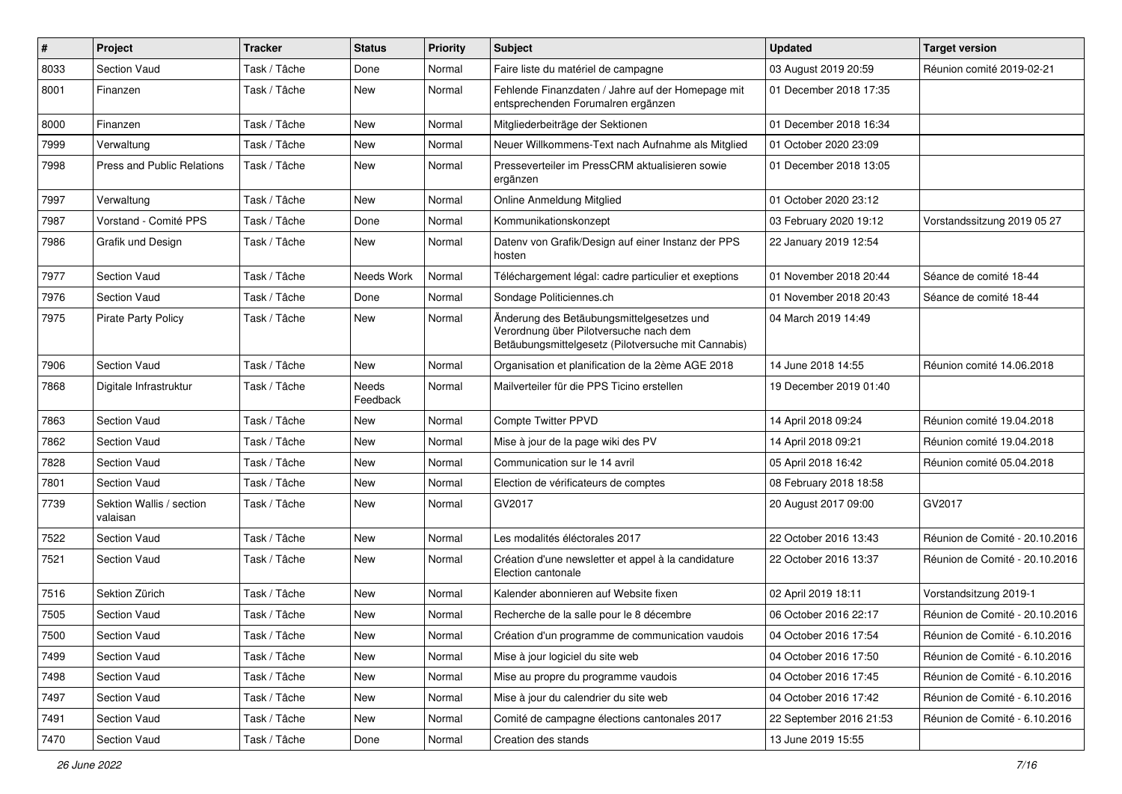| $\#$ | Project                              | <b>Tracker</b> | <b>Status</b>     | <b>Priority</b> | Subject                                                                                                                                    | <b>Updated</b>          | <b>Target version</b>          |
|------|--------------------------------------|----------------|-------------------|-----------------|--------------------------------------------------------------------------------------------------------------------------------------------|-------------------------|--------------------------------|
| 8033 | <b>Section Vaud</b>                  | Task / Tâche   | Done              | Normal          | Faire liste du matériel de campagne                                                                                                        | 03 August 2019 20:59    | Réunion comité 2019-02-21      |
| 8001 | Finanzen                             | Task / Tâche   | <b>New</b>        | Normal          | Fehlende Finanzdaten / Jahre auf der Homepage mit<br>entsprechenden Forumalren ergänzen                                                    | 01 December 2018 17:35  |                                |
| 8000 | Finanzen                             | Task / Tâche   | New               | Normal          | Mitgliederbeiträge der Sektionen                                                                                                           | 01 December 2018 16:34  |                                |
| 7999 | Verwaltung                           | Task / Tâche   | <b>New</b>        | Normal          | Neuer Willkommens-Text nach Aufnahme als Mitglied                                                                                          | 01 October 2020 23:09   |                                |
| 7998 | <b>Press and Public Relations</b>    | Task / Tâche   | New               | Normal          | Presseverteiler im PressCRM aktualisieren sowie<br>ergänzen                                                                                | 01 December 2018 13:05  |                                |
| 7997 | Verwaltung                           | Task / Tâche   | New               | Normal          | Online Anmeldung Mitglied                                                                                                                  | 01 October 2020 23:12   |                                |
| 7987 | Vorstand - Comité PPS                | Task / Tâche   | Done              | Normal          | Kommunikationskonzept                                                                                                                      | 03 February 2020 19:12  | Vorstandssitzung 2019 05 27    |
| 7986 | Grafik und Design                    | Task / Tâche   | New               | Normal          | Datenv von Grafik/Design auf einer Instanz der PPS<br>hosten                                                                               | 22 January 2019 12:54   |                                |
| 7977 | Section Vaud                         | Task / Tâche   | Needs Work        | Normal          | Téléchargement légal: cadre particulier et exeptions                                                                                       | 01 November 2018 20:44  | Séance de comité 18-44         |
| 7976 | <b>Section Vaud</b>                  | Task / Tâche   | Done              | Normal          | Sondage Politiciennes.ch                                                                                                                   | 01 November 2018 20:43  | Séance de comité 18-44         |
| 7975 | <b>Pirate Party Policy</b>           | Task / Tâche   | New               | Normal          | Änderung des Betäubungsmittelgesetzes und<br>Verordnung über Pilotversuche nach dem<br>Betäubungsmittelgesetz (Pilotversuche mit Cannabis) | 04 March 2019 14:49     |                                |
| 7906 | <b>Section Vaud</b>                  | Task / Tâche   | New               | Normal          | Organisation et planification de la 2ème AGE 2018                                                                                          | 14 June 2018 14:55      | Réunion comité 14.06.2018      |
| 7868 | Digitale Infrastruktur               | Task / Tâche   | Needs<br>Feedback | Normal          | Mailverteiler für die PPS Ticino erstellen                                                                                                 | 19 December 2019 01:40  |                                |
| 7863 | Section Vaud                         | Task / Tâche   | New               | Normal          | Compte Twitter PPVD                                                                                                                        | 14 April 2018 09:24     | Réunion comité 19.04.2018      |
| 7862 | <b>Section Vaud</b>                  | Task / Tâche   | <b>New</b>        | Normal          | Mise à jour de la page wiki des PV                                                                                                         | 14 April 2018 09:21     | Réunion comité 19.04.2018      |
| 7828 | Section Vaud                         | Task / Tâche   | New               | Normal          | Communication sur le 14 avril                                                                                                              | 05 April 2018 16:42     | Réunion comité 05.04.2018      |
| 7801 | <b>Section Vaud</b>                  | Task / Tâche   | <b>New</b>        | Normal          | Election de vérificateurs de comptes                                                                                                       | 08 February 2018 18:58  |                                |
| 7739 | Sektion Wallis / section<br>valaisan | Task / Tâche   | New               | Normal          | GV2017                                                                                                                                     | 20 August 2017 09:00    | GV2017                         |
| 7522 | Section Vaud                         | Task / Tâche   | <b>New</b>        | Normal          | Les modalités éléctorales 2017                                                                                                             | 22 October 2016 13:43   | Réunion de Comité - 20.10.2016 |
| 7521 | <b>Section Vaud</b>                  | Task / Tâche   | New               | Normal          | Création d'une newsletter et appel à la candidature<br>Election cantonale                                                                  | 22 October 2016 13:37   | Réunion de Comité - 20.10.2016 |
| 7516 | Sektion Zürich                       | Task / Tâche   | <b>New</b>        | Normal          | Kalender abonnieren auf Website fixen                                                                                                      | 02 April 2019 18:11     | Vorstandsitzung 2019-1         |
| 7505 | <b>Section Vaud</b>                  | Task / Tâche   | New               | Normal          | Recherche de la salle pour le 8 décembre                                                                                                   | 06 October 2016 22:17   | Réunion de Comité - 20.10.2016 |
| 7500 | Section Vaud                         | Task / Tâche   | New               | Normal          | Création d'un programme de communication vaudois                                                                                           | 04 October 2016 17:54   | Réunion de Comité - 6.10.2016  |
| 7499 | Section Vaud                         | Task / Tâche   | New               | Normal          | Mise à jour logiciel du site web                                                                                                           | 04 October 2016 17:50   | Réunion de Comité - 6.10.2016  |
| 7498 | Section Vaud                         | Task / Tâche   | New               | Normal          | Mise au propre du programme vaudois                                                                                                        | 04 October 2016 17:45   | Réunion de Comité - 6.10.2016  |
| 7497 | Section Vaud                         | Task / Tâche   | New               | Normal          | Mise à jour du calendrier du site web                                                                                                      | 04 October 2016 17:42   | Réunion de Comité - 6.10.2016  |
| 7491 | Section Vaud                         | Task / Tâche   | New               | Normal          | Comité de campagne élections cantonales 2017                                                                                               | 22 September 2016 21:53 | Réunion de Comité - 6.10.2016  |
| 7470 | Section Vaud                         | Task / Tâche   | Done              | Normal          | Creation des stands                                                                                                                        | 13 June 2019 15:55      |                                |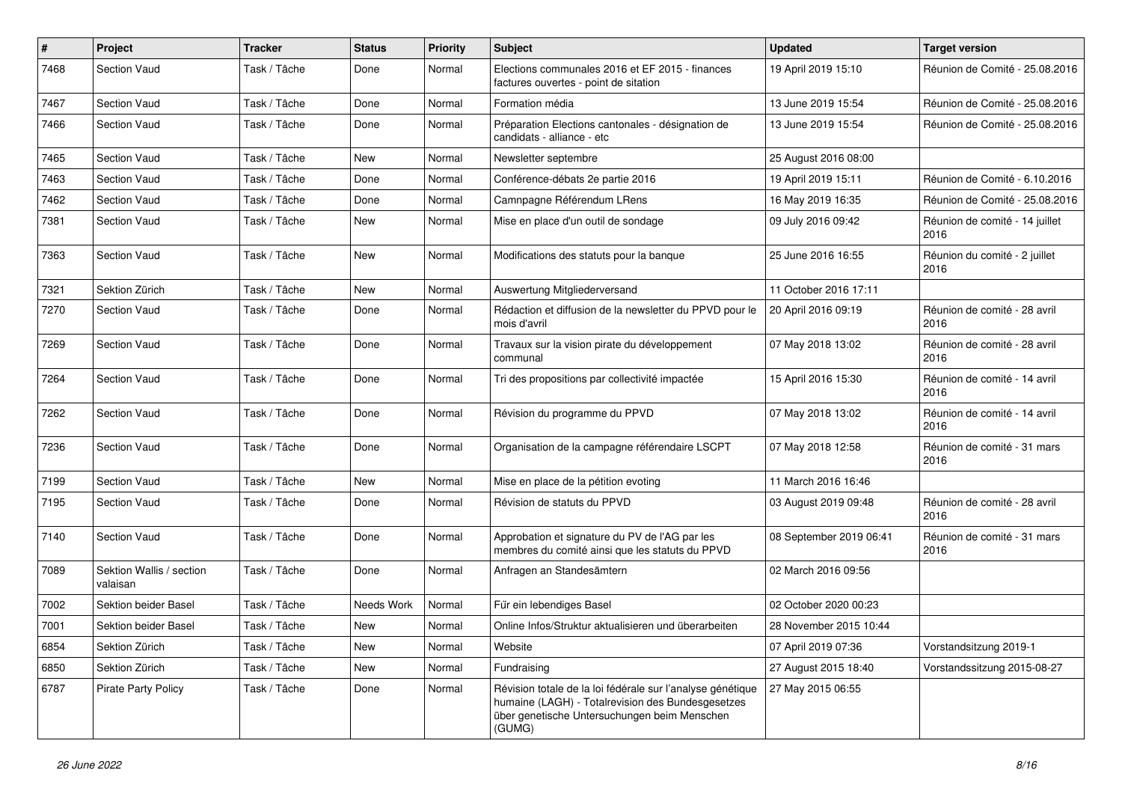| $\sharp$ | Project                              | <b>Tracker</b> | <b>Status</b> | <b>Priority</b> | Subject                                                                                                                                                                   | <b>Updated</b>          | <b>Target version</b>                  |
|----------|--------------------------------------|----------------|---------------|-----------------|---------------------------------------------------------------------------------------------------------------------------------------------------------------------------|-------------------------|----------------------------------------|
| 7468     | <b>Section Vaud</b>                  | Task / Tâche   | Done          | Normal          | Elections communales 2016 et EF 2015 - finances<br>factures ouvertes - point de sitation                                                                                  | 19 April 2019 15:10     | Réunion de Comité - 25.08.2016         |
| 7467     | <b>Section Vaud</b>                  | Task / Tâche   | Done          | Normal          | Formation média                                                                                                                                                           | 13 June 2019 15:54      | Réunion de Comité - 25.08.2016         |
| 7466     | <b>Section Vaud</b>                  | Task / Tâche   | Done          | Normal          | Préparation Elections cantonales - désignation de<br>candidats - alliance - etc                                                                                           | 13 June 2019 15:54      | Réunion de Comité - 25.08.2016         |
| 7465     | <b>Section Vaud</b>                  | Task / Tâche   | New           | Normal          | Newsletter septembre                                                                                                                                                      | 25 August 2016 08:00    |                                        |
| 7463     | <b>Section Vaud</b>                  | Task / Tâche   | Done          | Normal          | Conférence-débats 2e partie 2016                                                                                                                                          | 19 April 2019 15:11     | Réunion de Comité - 6.10.2016          |
| 7462     | <b>Section Vaud</b>                  | Task / Tâche   | Done          | Normal          | Camnpagne Référendum LRens                                                                                                                                                | 16 May 2019 16:35       | Réunion de Comité - 25.08.2016         |
| 7381     | <b>Section Vaud</b>                  | Task / Tâche   | <b>New</b>    | Normal          | Mise en place d'un outil de sondage                                                                                                                                       | 09 July 2016 09:42      | Réunion de comité - 14 juillet<br>2016 |
| 7363     | <b>Section Vaud</b>                  | Task / Tâche   | <b>New</b>    | Normal          | Modifications des statuts pour la banque                                                                                                                                  | 25 June 2016 16:55      | Réunion du comité - 2 juillet<br>2016  |
| 7321     | Sektion Zürich                       | Task / Tâche   | <b>New</b>    | Normal          | Auswertung Mitgliederversand                                                                                                                                              | 11 October 2016 17:11   |                                        |
| 7270     | <b>Section Vaud</b>                  | Task / Tâche   | Done          | Normal          | Rédaction et diffusion de la newsletter du PPVD pour le<br>mois d'avril                                                                                                   | 20 April 2016 09:19     | Réunion de comité - 28 avril<br>2016   |
| 7269     | <b>Section Vaud</b>                  | Task / Tâche   | Done          | Normal          | Travaux sur la vision pirate du développement<br>communal                                                                                                                 | 07 May 2018 13:02       | Réunion de comité - 28 avril<br>2016   |
| 7264     | <b>Section Vaud</b>                  | Task / Tâche   | Done          | Normal          | Tri des propositions par collectivité impactée                                                                                                                            | 15 April 2016 15:30     | Réunion de comité - 14 avril<br>2016   |
| 7262     | <b>Section Vaud</b>                  | Task / Tâche   | Done          | Normal          | Révision du programme du PPVD                                                                                                                                             | 07 May 2018 13:02       | Réunion de comité - 14 avril<br>2016   |
| 7236     | <b>Section Vaud</b>                  | Task / Tâche   | Done          | Normal          | Organisation de la campagne référendaire LSCPT                                                                                                                            | 07 May 2018 12:58       | Réunion de comité - 31 mars<br>2016    |
| 7199     | Section Vaud                         | Task / Tâche   | <b>New</b>    | Normal          | Mise en place de la pétition evoting                                                                                                                                      | 11 March 2016 16:46     |                                        |
| 7195     | <b>Section Vaud</b>                  | Task / Tâche   | Done          | Normal          | Révision de statuts du PPVD                                                                                                                                               | 03 August 2019 09:48    | Réunion de comité - 28 avril<br>2016   |
| 7140     | <b>Section Vaud</b>                  | Task / Tâche   | Done          | Normal          | Approbation et signature du PV de l'AG par les<br>membres du comité ainsi que les statuts du PPVD                                                                         | 08 September 2019 06:41 | Réunion de comité - 31 mars<br>2016    |
| 7089     | Sektion Wallis / section<br>valaisan | Task / Tâche   | Done          | Normal          | Anfragen an Standesämtern                                                                                                                                                 | 02 March 2016 09:56     |                                        |
| 7002     | Sektion beider Basel                 | Task / Tâche   | Needs Work    | Normal          | Für ein lebendiges Basel                                                                                                                                                  | 02 October 2020 00:23   |                                        |
| 7001     | Sektion beider Basel                 | Task / Tâche   | New           | Normal          | Online Infos/Struktur aktualisieren und überarbeiten                                                                                                                      | 28 November 2015 10:44  |                                        |
| 6854     | Sektion Zürich                       | Task / Tâche   | New           | Normal          | Website                                                                                                                                                                   | 07 April 2019 07:36     | Vorstandsitzung 2019-1                 |
| 6850     | Sektion Zürich                       | Task / Tâche   | New           | Normal          | Fundraising                                                                                                                                                               | 27 August 2015 18:40    | Vorstandssitzung 2015-08-27            |
| 6787     | <b>Pirate Party Policy</b>           | Task / Tâche   | Done          | Normal          | Révision totale de la loi fédérale sur l'analyse génétique<br>humaine (LAGH) - Totalrevision des Bundesgesetzes<br>über genetische Untersuchungen beim Menschen<br>(GUMG) | 27 May 2015 06:55       |                                        |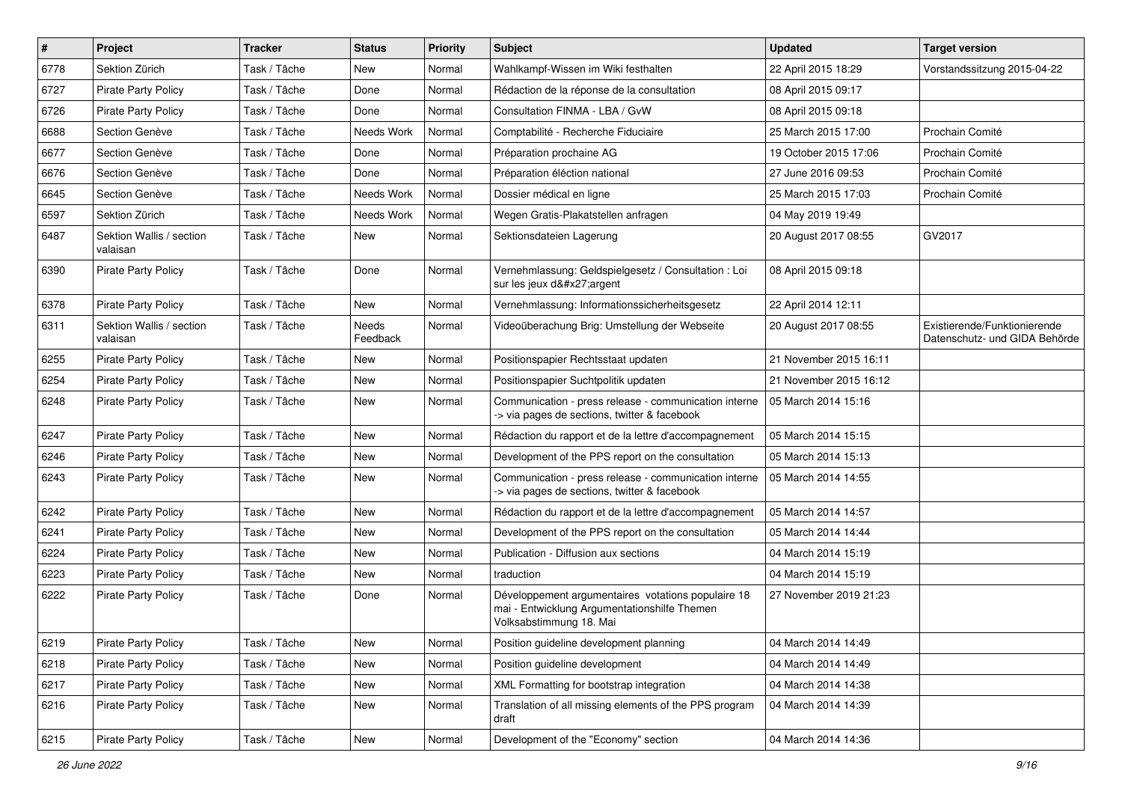| $\pmb{\#}$ | Project                              | <b>Tracker</b> | <b>Status</b>     | <b>Priority</b> | <b>Subject</b>                                                                                                                | <b>Updated</b>         | <b>Target version</b>                                         |
|------------|--------------------------------------|----------------|-------------------|-----------------|-------------------------------------------------------------------------------------------------------------------------------|------------------------|---------------------------------------------------------------|
| 6778       | Sektion Zürich                       | Task / Tâche   | New               | Normal          | Wahlkampf-Wissen im Wiki festhalten                                                                                           | 22 April 2015 18:29    | Vorstandssitzung 2015-04-22                                   |
| 6727       | <b>Pirate Party Policy</b>           | Task / Tâche   | Done              | Normal          | Rédaction de la réponse de la consultation                                                                                    | 08 April 2015 09:17    |                                                               |
| 6726       | <b>Pirate Party Policy</b>           | Task / Tâche   | Done              | Normal          | Consultation FINMA - LBA / GvW                                                                                                | 08 April 2015 09:18    |                                                               |
| 6688       | Section Genève                       | Task / Tâche   | Needs Work        | Normal          | Comptabilité - Recherche Fiduciaire                                                                                           | 25 March 2015 17:00    | Prochain Comité                                               |
| 6677       | Section Genève                       | Task / Tâche   | Done              | Normal          | Préparation prochaine AG                                                                                                      | 19 October 2015 17:06  | Prochain Comité                                               |
| 6676       | Section Genève                       | Task / Tâche   | Done              | Normal          | Préparation éléction national                                                                                                 | 27 June 2016 09:53     | Prochain Comité                                               |
| 6645       | Section Genève                       | Task / Tâche   | Needs Work        | Normal          | Dossier médical en ligne                                                                                                      | 25 March 2015 17:03    | Prochain Comité                                               |
| 6597       | Sektion Zürich                       | Task / Tâche   | Needs Work        | Normal          | Wegen Gratis-Plakatstellen anfragen                                                                                           | 04 May 2019 19:49      |                                                               |
| 6487       | Sektion Wallis / section<br>valaisan | Task / Tâche   | New               | Normal          | Sektionsdateien Lagerung                                                                                                      | 20 August 2017 08:55   | GV2017                                                        |
| 6390       | <b>Pirate Party Policy</b>           | Task / Tâche   | Done              | Normal          | Vernehmlassung: Geldspielgesetz / Consultation : Loi<br>sur les jeux d'argent                                                 | 08 April 2015 09:18    |                                                               |
| 6378       | <b>Pirate Party Policy</b>           | Task / Tâche   | <b>New</b>        | Normal          | Vernehmlassung: Informationssicherheitsgesetz                                                                                 | 22 April 2014 12:11    |                                                               |
| 6311       | Sektion Wallis / section<br>valaisan | Task / Tâche   | Needs<br>Feedback | Normal          | Videoüberachung Brig: Umstellung der Webseite                                                                                 | 20 August 2017 08:55   | Existierende/Funktionierende<br>Datenschutz- und GIDA Behörde |
| 6255       | <b>Pirate Party Policy</b>           | Task / Tâche   | New               | Normal          | Positionspapier Rechtsstaat updaten                                                                                           | 21 November 2015 16:11 |                                                               |
| 6254       | <b>Pirate Party Policy</b>           | Task / Tâche   | New               | Normal          | Positionspapier Suchtpolitik updaten                                                                                          | 21 November 2015 16:12 |                                                               |
| 6248       | Pirate Party Policy                  | Task / Tâche   | <b>New</b>        | Normal          | Communication - press release - communication interne<br>-> via pages de sections, twitter & facebook                         | 05 March 2014 15:16    |                                                               |
| 6247       | <b>Pirate Party Policy</b>           | Task / Tâche   | <b>New</b>        | Normal          | Rédaction du rapport et de la lettre d'accompagnement                                                                         | 05 March 2014 15:15    |                                                               |
| 6246       | <b>Pirate Party Policy</b>           | Task / Tâche   | <b>New</b>        | Normal          | Development of the PPS report on the consultation                                                                             | 05 March 2014 15:13    |                                                               |
| 6243       | <b>Pirate Party Policy</b>           | Task / Tâche   | New               | Normal          | Communication - press release - communication interne<br>-> via pages de sections, twitter & facebook                         | 05 March 2014 14:55    |                                                               |
| 6242       | <b>Pirate Party Policy</b>           | Task / Tâche   | <b>New</b>        | Normal          | Rédaction du rapport et de la lettre d'accompagnement                                                                         | 05 March 2014 14:57    |                                                               |
| 6241       | <b>Pirate Party Policy</b>           | Task / Tâche   | New               | Normal          | Development of the PPS report on the consultation                                                                             | 05 March 2014 14:44    |                                                               |
| 6224       | <b>Pirate Party Policy</b>           | Task / Tâche   | <b>New</b>        | Normal          | Publication - Diffusion aux sections                                                                                          | 04 March 2014 15:19    |                                                               |
| 6223       | <b>Pirate Party Policy</b>           | Task / Tâche   | New               | Normal          | traduction                                                                                                                    | 04 March 2014 15:19    |                                                               |
| 6222       | Pirate Party Policy                  | Task / Tâche   | Done              | Normal          | Développement argumentaires votations populaire 18<br>mai - Entwicklung Argumentationshilfe Themen<br>Volksabstimmung 18. Mai | 27 November 2019 21:23 |                                                               |
| 6219       | Pirate Party Policy                  | Task / Tâche   | New               | Normal          | Position guideline development planning                                                                                       | 04 March 2014 14:49    |                                                               |
| 6218       | Pirate Party Policy                  | Task / Tâche   | New               | Normal          | Position guideline development                                                                                                | 04 March 2014 14:49    |                                                               |
| 6217       | Pirate Party Policy                  | Task / Tâche   | New               | Normal          | XML Formatting for bootstrap integration                                                                                      | 04 March 2014 14:38    |                                                               |
| 6216       | Pirate Party Policy                  | Task / Tâche   | New               | Normal          | Translation of all missing elements of the PPS program<br>draft                                                               | 04 March 2014 14:39    |                                                               |
| 6215       | Pirate Party Policy                  | Task / Tâche   | New               | Normal          | Development of the "Economy" section                                                                                          | 04 March 2014 14:36    |                                                               |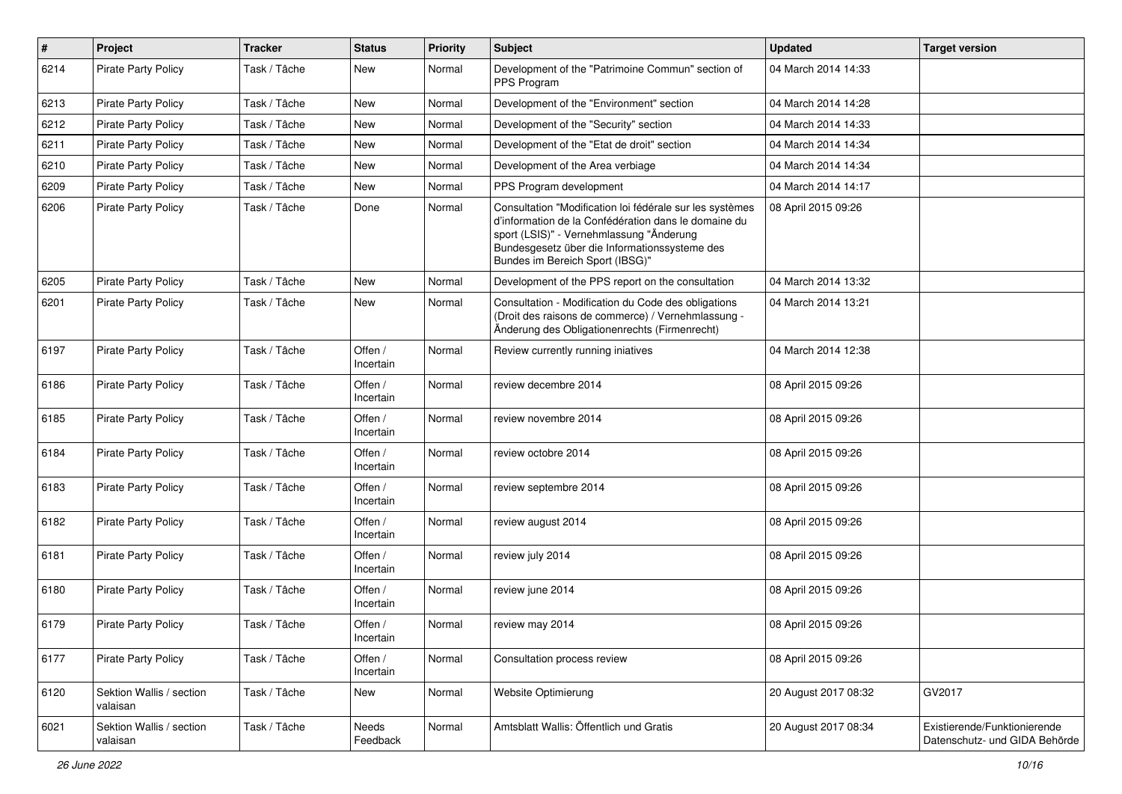| $\sharp$ | Project                              | <b>Tracker</b> | <b>Status</b>        | <b>Priority</b> | Subject                                                                                                                                                                                                                                          | <b>Updated</b>       | <b>Target version</b>                                         |
|----------|--------------------------------------|----------------|----------------------|-----------------|--------------------------------------------------------------------------------------------------------------------------------------------------------------------------------------------------------------------------------------------------|----------------------|---------------------------------------------------------------|
| 6214     | Pirate Party Policy                  | Task / Tâche   | New                  | Normal          | Development of the "Patrimoine Commun" section of<br>PPS Program                                                                                                                                                                                 | 04 March 2014 14:33  |                                                               |
| 6213     | <b>Pirate Party Policy</b>           | Task / Tâche   | New                  | Normal          | Development of the "Environment" section                                                                                                                                                                                                         | 04 March 2014 14:28  |                                                               |
| 6212     | <b>Pirate Party Policy</b>           | Task / Tâche   | <b>New</b>           | Normal          | Development of the "Security" section                                                                                                                                                                                                            | 04 March 2014 14:33  |                                                               |
| 6211     | <b>Pirate Party Policy</b>           | Task / Tâche   | <b>New</b>           | Normal          | Development of the "Etat de droit" section                                                                                                                                                                                                       | 04 March 2014 14:34  |                                                               |
| 6210     | <b>Pirate Party Policy</b>           | Task / Tâche   | New                  | Normal          | Development of the Area verbiage                                                                                                                                                                                                                 | 04 March 2014 14:34  |                                                               |
| 6209     | <b>Pirate Party Policy</b>           | Task / Tâche   | <b>New</b>           | Normal          | PPS Program development                                                                                                                                                                                                                          | 04 March 2014 14:17  |                                                               |
| 6206     | <b>Pirate Party Policy</b>           | Task / Tâche   | Done                 | Normal          | Consultation "Modification loi fédérale sur les systèmes<br>d'information de la Confédération dans le domaine du<br>sport (LSIS)" - Vernehmlassung "Änderung<br>Bundesgesetz über die Informationssysteme des<br>Bundes im Bereich Sport (IBSG)" | 08 April 2015 09:26  |                                                               |
| 6205     | <b>Pirate Party Policy</b>           | Task / Tâche   | <b>New</b>           | Normal          | Development of the PPS report on the consultation                                                                                                                                                                                                | 04 March 2014 13:32  |                                                               |
| 6201     | <b>Pirate Party Policy</b>           | Task / Tâche   | New                  | Normal          | Consultation - Modification du Code des obligations<br>(Droit des raisons de commerce) / Vernehmlassung -<br>Änderung des Obligationenrechts (Firmenrecht)                                                                                       | 04 March 2014 13:21  |                                                               |
| 6197     | <b>Pirate Party Policy</b>           | Task / Tâche   | Offen /<br>Incertain | Normal          | Review currently running iniatives                                                                                                                                                                                                               | 04 March 2014 12:38  |                                                               |
| 6186     | <b>Pirate Party Policy</b>           | Task / Tâche   | Offen /<br>Incertain | Normal          | review decembre 2014                                                                                                                                                                                                                             | 08 April 2015 09:26  |                                                               |
| 6185     | <b>Pirate Party Policy</b>           | Task / Tâche   | Offen /<br>Incertain | Normal          | review novembre 2014                                                                                                                                                                                                                             | 08 April 2015 09:26  |                                                               |
| 6184     | <b>Pirate Party Policy</b>           | Task / Tâche   | Offen /<br>Incertain | Normal          | review octobre 2014                                                                                                                                                                                                                              | 08 April 2015 09:26  |                                                               |
| 6183     | <b>Pirate Party Policy</b>           | Task / Tâche   | Offen /<br>Incertain | Normal          | review septembre 2014                                                                                                                                                                                                                            | 08 April 2015 09:26  |                                                               |
| 6182     | <b>Pirate Party Policy</b>           | Task / Tâche   | Offen /<br>Incertain | Normal          | review august 2014                                                                                                                                                                                                                               | 08 April 2015 09:26  |                                                               |
| 6181     | <b>Pirate Party Policy</b>           | Task / Tâche   | Offen /<br>Incertain | Normal          | review july 2014                                                                                                                                                                                                                                 | 08 April 2015 09:26  |                                                               |
| 6180     | <b>Pirate Party Policy</b>           | Task / Tâche   | Offen /<br>Incertain | Normal          | review june 2014                                                                                                                                                                                                                                 | 08 April 2015 09:26  |                                                               |
| 6179     | Pirate Party Policy                  | Task / Tâche   | Offen /<br>Incertain | Normal          | review may 2014                                                                                                                                                                                                                                  | 08 April 2015 09:26  |                                                               |
| 6177     | <b>Pirate Party Policy</b>           | Task / Tâche   | Offen /<br>Incertain | Normal          | Consultation process review                                                                                                                                                                                                                      | 08 April 2015 09:26  |                                                               |
| 6120     | Sektion Wallis / section<br>valaisan | Task / Tâche   | New                  | Normal          | Website Optimierung                                                                                                                                                                                                                              | 20 August 2017 08:32 | GV2017                                                        |
| 6021     | Sektion Wallis / section<br>valaisan | Task / Tâche   | Needs<br>Feedback    | Normal          | Amtsblatt Wallis: Öffentlich und Gratis                                                                                                                                                                                                          | 20 August 2017 08:34 | Existierende/Funktionierende<br>Datenschutz- und GIDA Behörde |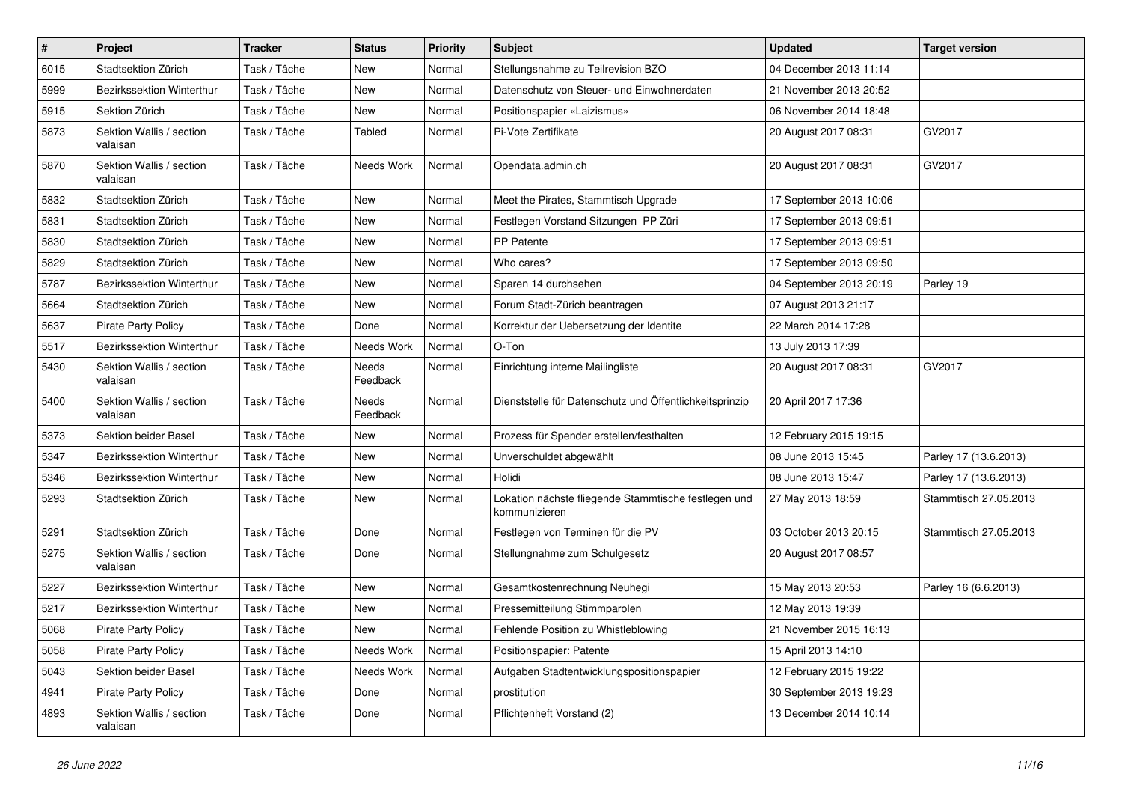| $\sharp$ | Project                              | <b>Tracker</b> | <b>Status</b>     | <b>Priority</b> | <b>Subject</b>                                                        | <b>Updated</b>          | <b>Target version</b> |
|----------|--------------------------------------|----------------|-------------------|-----------------|-----------------------------------------------------------------------|-------------------------|-----------------------|
| 6015     | Stadtsektion Zürich                  | Task / Tâche   | New               | Normal          | Stellungsnahme zu Teilrevision BZO                                    | 04 December 2013 11:14  |                       |
| 5999     | Bezirkssektion Winterthur            | Task / Tâche   | New               | Normal          | Datenschutz von Steuer- und Einwohnerdaten                            | 21 November 2013 20:52  |                       |
| 5915     | Sektion Zürich                       | Task / Tâche   | New               | Normal          | Positionspapier «Laizismus»                                           | 06 November 2014 18:48  |                       |
| 5873     | Sektion Wallis / section<br>valaisan | Task / Tâche   | Tabled            | Normal          | Pi-Vote Zertifikate                                                   | 20 August 2017 08:31    | GV2017                |
| 5870     | Sektion Wallis / section<br>valaisan | Task / Tâche   | Needs Work        | Normal          | Opendata.admin.ch                                                     | 20 August 2017 08:31    | GV2017                |
| 5832     | Stadtsektion Zürich                  | Task / Tâche   | New               | Normal          | Meet the Pirates, Stammtisch Upgrade                                  | 17 September 2013 10:06 |                       |
| 5831     | Stadtsektion Zürich                  | Task / Tâche   | New               | Normal          | Festlegen Vorstand Sitzungen PP Züri                                  | 17 September 2013 09:51 |                       |
| 5830     | Stadtsektion Zürich                  | Task / Tâche   | <b>New</b>        | Normal          | PP Patente                                                            | 17 September 2013 09:51 |                       |
| 5829     | Stadtsektion Zürich                  | Task / Tâche   | New               | Normal          | Who cares?                                                            | 17 September 2013 09:50 |                       |
| 5787     | Bezirkssektion Winterthur            | Task / Tâche   | <b>New</b>        | Normal          | Sparen 14 durchsehen                                                  | 04 September 2013 20:19 | Parley 19             |
| 5664     | Stadtsektion Zürich                  | Task / Tâche   | New               | Normal          | Forum Stadt-Zürich beantragen                                         | 07 August 2013 21:17    |                       |
| 5637     | Pirate Party Policy                  | Task / Tâche   | Done              | Normal          | Korrektur der Uebersetzung der Identite                               | 22 March 2014 17:28     |                       |
| 5517     | Bezirkssektion Winterthur            | Task / Tâche   | Needs Work        | Normal          | O-Ton                                                                 | 13 July 2013 17:39      |                       |
| 5430     | Sektion Wallis / section<br>valaisan | Task / Tâche   | Needs<br>Feedback | Normal          | Einrichtung interne Mailingliste                                      | 20 August 2017 08:31    | GV2017                |
| 5400     | Sektion Wallis / section<br>valaisan | Task / Tâche   | Needs<br>Feedback | Normal          | Dienststelle für Datenschutz und Öffentlichkeitsprinzip               | 20 April 2017 17:36     |                       |
| 5373     | Sektion beider Basel                 | Task / Tâche   | New               | Normal          | Prozess für Spender erstellen/festhalten                              | 12 February 2015 19:15  |                       |
| 5347     | <b>Bezirkssektion Winterthur</b>     | Task / Tâche   | New               | Normal          | Unverschuldet abgewählt                                               | 08 June 2013 15:45      | Parley 17 (13.6.2013) |
| 5346     | <b>Bezirkssektion Winterthur</b>     | Task / Tâche   | New               | Normal          | Holidi                                                                | 08 June 2013 15:47      | Parley 17 (13.6.2013) |
| 5293     | Stadtsektion Zürich                  | Task / Tâche   | New               | Normal          | Lokation nächste fliegende Stammtische festlegen und<br>kommunizieren | 27 May 2013 18:59       | Stammtisch 27.05.2013 |
| 5291     | Stadtsektion Zürich                  | Task / Tâche   | Done              | Normal          | Festlegen von Terminen für die PV                                     | 03 October 2013 20:15   | Stammtisch 27.05.2013 |
| 5275     | Sektion Wallis / section<br>valaisan | Task / Tâche   | Done              | Normal          | Stellungnahme zum Schulgesetz                                         | 20 August 2017 08:57    |                       |
| 5227     | Bezirkssektion Winterthur            | Task / Tâche   | New               | Normal          | Gesamtkostenrechnung Neuhegi                                          | 15 May 2013 20:53       | Parley 16 (6.6.2013)  |
| 5217     | Bezirkssektion Winterthur            | Task / Tâche   | <b>New</b>        | Normal          | Pressemitteilung Stimmparolen                                         | 12 May 2013 19:39       |                       |
| 5068     | <b>Pirate Party Policy</b>           | Task / Tâche   | <b>New</b>        | Normal          | Fehlende Position zu Whistleblowing                                   | 21 November 2015 16:13  |                       |
| 5058     | Pirate Party Policy                  | Task / Tâche   | Needs Work        | Normal          | Positionspapier: Patente                                              | 15 April 2013 14:10     |                       |
| 5043     | Sektion beider Basel                 | Task / Tâche   | Needs Work        | Normal          | Aufgaben Stadtentwicklungspositionspapier                             | 12 February 2015 19:22  |                       |
| 4941     | Pirate Party Policy                  | Task / Tâche   | Done              | Normal          | prostitution                                                          | 30 September 2013 19:23 |                       |
| 4893     | Sektion Wallis / section<br>valaisan | Task / Tâche   | Done              | Normal          | Pflichtenheft Vorstand (2)                                            | 13 December 2014 10:14  |                       |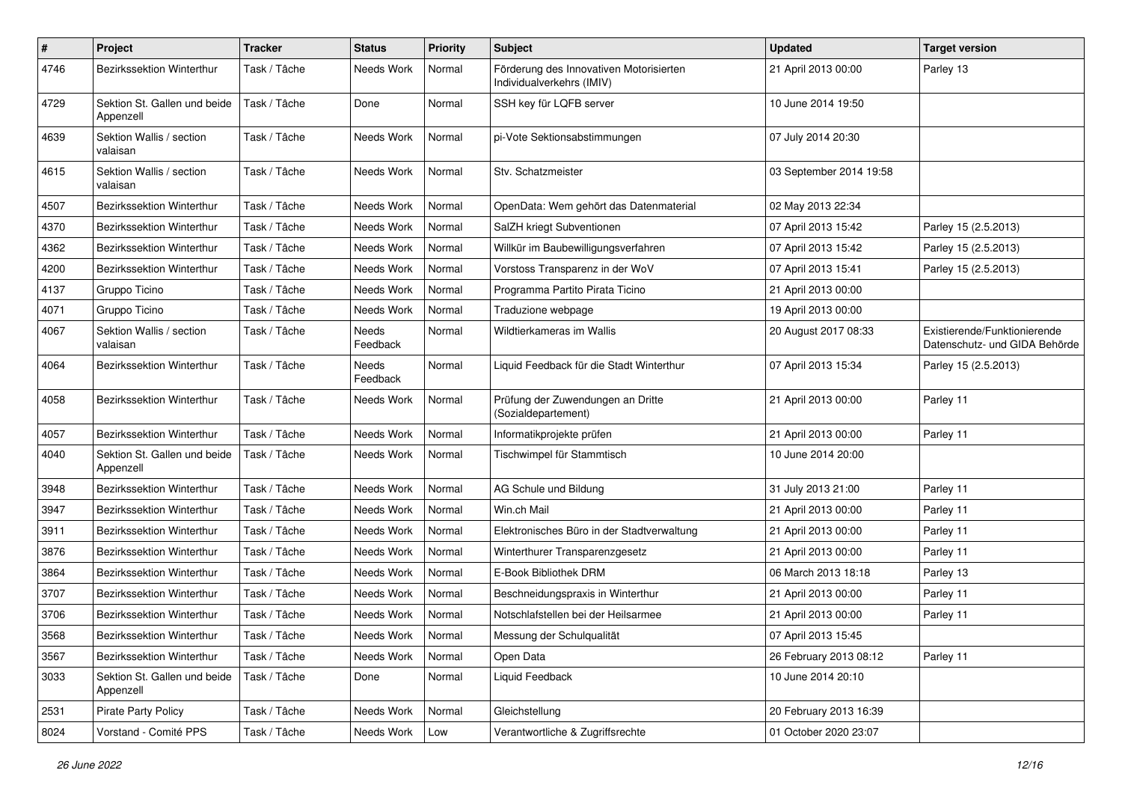| $\#$ | Project                                   | <b>Tracker</b> | <b>Status</b>     | <b>Priority</b> | <b>Subject</b>                                                       | <b>Updated</b>          | <b>Target version</b>                                         |
|------|-------------------------------------------|----------------|-------------------|-----------------|----------------------------------------------------------------------|-------------------------|---------------------------------------------------------------|
| 4746 | <b>Bezirkssektion Winterthur</b>          | Task / Tâche   | Needs Work        | Normal          | Förderung des Innovativen Motorisierten<br>Individualverkehrs (IMIV) | 21 April 2013 00:00     | Parley 13                                                     |
| 4729 | Sektion St. Gallen und beide<br>Appenzell | Task / Tâche   | Done              | Normal          | SSH key für LQFB server                                              | 10 June 2014 19:50      |                                                               |
| 4639 | Sektion Wallis / section<br>valaisan      | Task / Tâche   | Needs Work        | Normal          | pi-Vote Sektionsabstimmungen                                         | 07 July 2014 20:30      |                                                               |
| 4615 | Sektion Wallis / section<br>valaisan      | Task / Tâche   | Needs Work        | Normal          | Stv. Schatzmeister                                                   | 03 September 2014 19:58 |                                                               |
| 4507 | Bezirkssektion Winterthur                 | Task / Tâche   | Needs Work        | Normal          | OpenData: Wem gehört das Datenmaterial                               | 02 May 2013 22:34       |                                                               |
| 4370 | Bezirkssektion Winterthur                 | Task / Tâche   | Needs Work        | Normal          | SalZH kriegt Subventionen                                            | 07 April 2013 15:42     | Parley 15 (2.5.2013)                                          |
| 4362 | <b>Bezirkssektion Winterthur</b>          | Task / Tâche   | Needs Work        | Normal          | Willkür im Baubewilligungsverfahren                                  | 07 April 2013 15:42     | Parley 15 (2.5.2013)                                          |
| 4200 | Bezirkssektion Winterthur                 | Task / Tâche   | Needs Work        | Normal          | Vorstoss Transparenz in der WoV                                      | 07 April 2013 15:41     | Parley 15 (2.5.2013)                                          |
| 4137 | Gruppo Ticino                             | Task / Tâche   | Needs Work        | Normal          | Programma Partito Pirata Ticino                                      | 21 April 2013 00:00     |                                                               |
| 4071 | Gruppo Ticino                             | Task / Tâche   | Needs Work        | Normal          | Traduzione webpage                                                   | 19 April 2013 00:00     |                                                               |
| 4067 | Sektion Wallis / section<br>valaisan      | Task / Tâche   | Needs<br>Feedback | Normal          | Wildtierkameras im Wallis                                            | 20 August 2017 08:33    | Existierende/Funktionierende<br>Datenschutz- und GIDA Behörde |
| 4064 | <b>Bezirkssektion Winterthur</b>          | Task / Tâche   | Needs<br>Feedback | Normal          | Liquid Feedback für die Stadt Winterthur                             | 07 April 2013 15:34     | Parley 15 (2.5.2013)                                          |
| 4058 | Bezirkssektion Winterthur                 | Task / Tâche   | Needs Work        | Normal          | Prüfung der Zuwendungen an Dritte<br>(Sozialdepartement)             | 21 April 2013 00:00     | Parley 11                                                     |
| 4057 | <b>Bezirkssektion Winterthur</b>          | Task / Tâche   | Needs Work        | Normal          | Informatikprojekte prüfen                                            | 21 April 2013 00:00     | Parley 11                                                     |
| 4040 | Sektion St. Gallen und beide<br>Appenzell | Task / Tâche   | Needs Work        | Normal          | Tischwimpel für Stammtisch                                           | 10 June 2014 20:00      |                                                               |
| 3948 | <b>Bezirkssektion Winterthur</b>          | Task / Tâche   | Needs Work        | Normal          | AG Schule und Bildung                                                | 31 July 2013 21:00      | Parley 11                                                     |
| 3947 | Bezirkssektion Winterthur                 | Task / Tâche   | Needs Work        | Normal          | Win.ch Mail                                                          | 21 April 2013 00:00     | Parley 11                                                     |
| 3911 | Bezirkssektion Winterthur                 | Task / Tâche   | Needs Work        | Normal          | Elektronisches Büro in der Stadtverwaltung                           | 21 April 2013 00:00     | Parley 11                                                     |
| 3876 | Bezirkssektion Winterthur                 | Task / Tâche   | Needs Work        | Normal          | Winterthurer Transparenzgesetz                                       | 21 April 2013 00:00     | Parley 11                                                     |
| 3864 | Bezirkssektion Winterthur                 | Task / Tâche   | Needs Work        | Normal          | E-Book Bibliothek DRM                                                | 06 March 2013 18:18     | Parley 13                                                     |
| 3707 | Bezirkssektion Winterthur                 | Task / Tâche   | Needs Work        | Normal          | Beschneidungspraxis in Winterthur                                    | 21 April 2013 00:00     | Parley 11                                                     |
| 3706 | Bezirkssektion Winterthur                 | Task / Tâche   | Needs Work        | Normal          | Notschlafstellen bei der Heilsarmee                                  | 21 April 2013 00:00     | Parley 11                                                     |
| 3568 | Bezirkssektion Winterthur                 | Task / Tâche   | Needs Work        | Normal          | Messung der Schulqualität                                            | 07 April 2013 15:45     |                                                               |
| 3567 | Bezirkssektion Winterthur                 | Task / Tâche   | Needs Work        | Normal          | Open Data                                                            | 26 February 2013 08:12  | Parley 11                                                     |
| 3033 | Sektion St. Gallen und beide<br>Appenzell | Task / Tâche   | Done              | Normal          | Liquid Feedback                                                      | 10 June 2014 20:10      |                                                               |
| 2531 | Pirate Party Policy                       | Task / Tâche   | Needs Work        | Normal          | Gleichstellung                                                       | 20 February 2013 16:39  |                                                               |
| 8024 | Vorstand - Comité PPS                     | Task / Tâche   | Needs Work        | Low             | Verantwortliche & Zugriffsrechte                                     | 01 October 2020 23:07   |                                                               |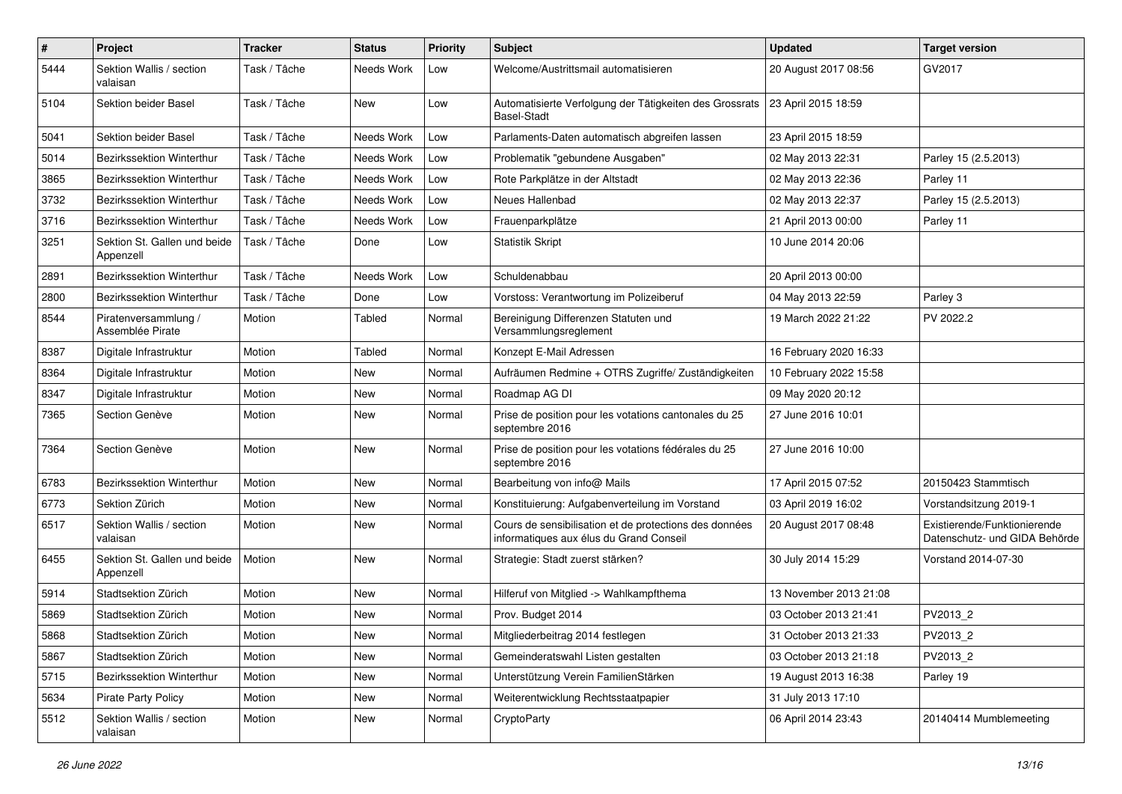| $\#$ | Project                                   | <b>Tracker</b> | <b>Status</b> | <b>Priority</b> | <b>Subject</b>                                                                                    | <b>Updated</b>         | <b>Target version</b>                                         |
|------|-------------------------------------------|----------------|---------------|-----------------|---------------------------------------------------------------------------------------------------|------------------------|---------------------------------------------------------------|
| 5444 | Sektion Wallis / section<br>valaisan      | Task / Tâche   | Needs Work    | Low             | Welcome/Austrittsmail automatisieren                                                              | 20 August 2017 08:56   | GV2017                                                        |
| 5104 | Sektion beider Basel                      | Task / Tâche   | New           | Low             | Automatisierte Verfolgung der Tätigkeiten des Grossrats<br><b>Basel-Stadt</b>                     | 23 April 2015 18:59    |                                                               |
| 5041 | Sektion beider Basel                      | Task / Tâche   | Needs Work    | Low             | Parlaments-Daten automatisch abgreifen lassen                                                     | 23 April 2015 18:59    |                                                               |
| 5014 | Bezirkssektion Winterthur                 | Task / Tâche   | Needs Work    | Low             | Problematik "gebundene Ausgaben"                                                                  | 02 May 2013 22:31      | Parley 15 (2.5.2013)                                          |
| 3865 | Bezirkssektion Winterthur                 | Task / Tâche   | Needs Work    | Low             | Rote Parkplätze in der Altstadt                                                                   | 02 May 2013 22:36      | Parley 11                                                     |
| 3732 | <b>Bezirkssektion Winterthur</b>          | Task / Tâche   | Needs Work    | Low             | Neues Hallenbad                                                                                   | 02 May 2013 22:37      | Parley 15 (2.5.2013)                                          |
| 3716 | Bezirkssektion Winterthur                 | Task / Tâche   | Needs Work    | Low             | Frauenparkplätze                                                                                  | 21 April 2013 00:00    | Parley 11                                                     |
| 3251 | Sektion St. Gallen und beide<br>Appenzell | Task / Tâche   | Done          | Low             | <b>Statistik Skript</b>                                                                           | 10 June 2014 20:06     |                                                               |
| 2891 | Bezirkssektion Winterthur                 | Task / Tâche   | Needs Work    | Low             | Schuldenabbau                                                                                     | 20 April 2013 00:00    |                                                               |
| 2800 | Bezirkssektion Winterthur                 | Task / Tâche   | Done          | Low             | Vorstoss: Verantwortung im Polizeiberuf                                                           | 04 May 2013 22:59      | Parley 3                                                      |
| 8544 | Piratenversammlung /<br>Assemblée Pirate  | Motion         | Tabled        | Normal          | Bereinigung Differenzen Statuten und<br>Versammlungsreglement                                     | 19 March 2022 21:22    | PV 2022.2                                                     |
| 8387 | Digitale Infrastruktur                    | Motion         | Tabled        | Normal          | Konzept E-Mail Adressen                                                                           | 16 February 2020 16:33 |                                                               |
| 8364 | Digitale Infrastruktur                    | Motion         | New           | Normal          | Aufräumen Redmine + OTRS Zugriffe/ Zuständigkeiten                                                | 10 February 2022 15:58 |                                                               |
| 8347 | Digitale Infrastruktur                    | Motion         | New           | Normal          | Roadmap AG DI                                                                                     | 09 May 2020 20:12      |                                                               |
| 7365 | Section Genève                            | Motion         | New           | Normal          | Prise de position pour les votations cantonales du 25<br>septembre 2016                           | 27 June 2016 10:01     |                                                               |
| 7364 | Section Genève                            | Motion         | <b>New</b>    | Normal          | Prise de position pour les votations fédérales du 25<br>septembre 2016                            | 27 June 2016 10:00     |                                                               |
| 6783 | Bezirkssektion Winterthur                 | Motion         | New           | Normal          | Bearbeitung von info@ Mails                                                                       | 17 April 2015 07:52    | 20150423 Stammtisch                                           |
| 6773 | Sektion Zürich                            | Motion         | New           | Normal          | Konstituierung: Aufgabenverteilung im Vorstand                                                    | 03 April 2019 16:02    | Vorstandsitzung 2019-1                                        |
| 6517 | Sektion Wallis / section<br>valaisan      | Motion         | New           | Normal          | Cours de sensibilisation et de protections des données<br>informatiques aux élus du Grand Conseil | 20 August 2017 08:48   | Existierende/Funktionierende<br>Datenschutz- und GIDA Behörde |
| 6455 | Sektion St. Gallen und beide<br>Appenzell | Motion         | New           | Normal          | Strategie: Stadt zuerst stärken?                                                                  | 30 July 2014 15:29     | Vorstand 2014-07-30                                           |
| 5914 | Stadtsektion Zürich                       | Motion         | <b>New</b>    | Normal          | Hilferuf von Mitglied -> Wahlkampfthema                                                           | 13 November 2013 21:08 |                                                               |
| 5869 | Stadtsektion Zürich                       | Motion         | New           | Normal          | Prov. Budget 2014                                                                                 | 03 October 2013 21:41  | PV2013_2                                                      |
| 5868 | Stadtsektion Zürich                       | Motion         | New           | Normal          | Mitgliederbeitrag 2014 festlegen                                                                  | 31 October 2013 21:33  | PV2013_2                                                      |
| 5867 | Stadtsektion Zürich                       | Motion         | New           | Normal          | Gemeinderatswahl Listen gestalten                                                                 | 03 October 2013 21:18  | PV2013_2                                                      |
| 5715 | Bezirkssektion Winterthur                 | Motion         | New           | Normal          | Unterstützung Verein FamilienStärken                                                              | 19 August 2013 16:38   | Parley 19                                                     |
| 5634 | Pirate Party Policy                       | Motion         | New           | Normal          | Weiterentwicklung Rechtsstaatpapier                                                               | 31 July 2013 17:10     |                                                               |
| 5512 | Sektion Wallis / section<br>valaisan      | Motion         | New           | Normal          | CryptoParty                                                                                       | 06 April 2014 23:43    | 20140414 Mumblemeeting                                        |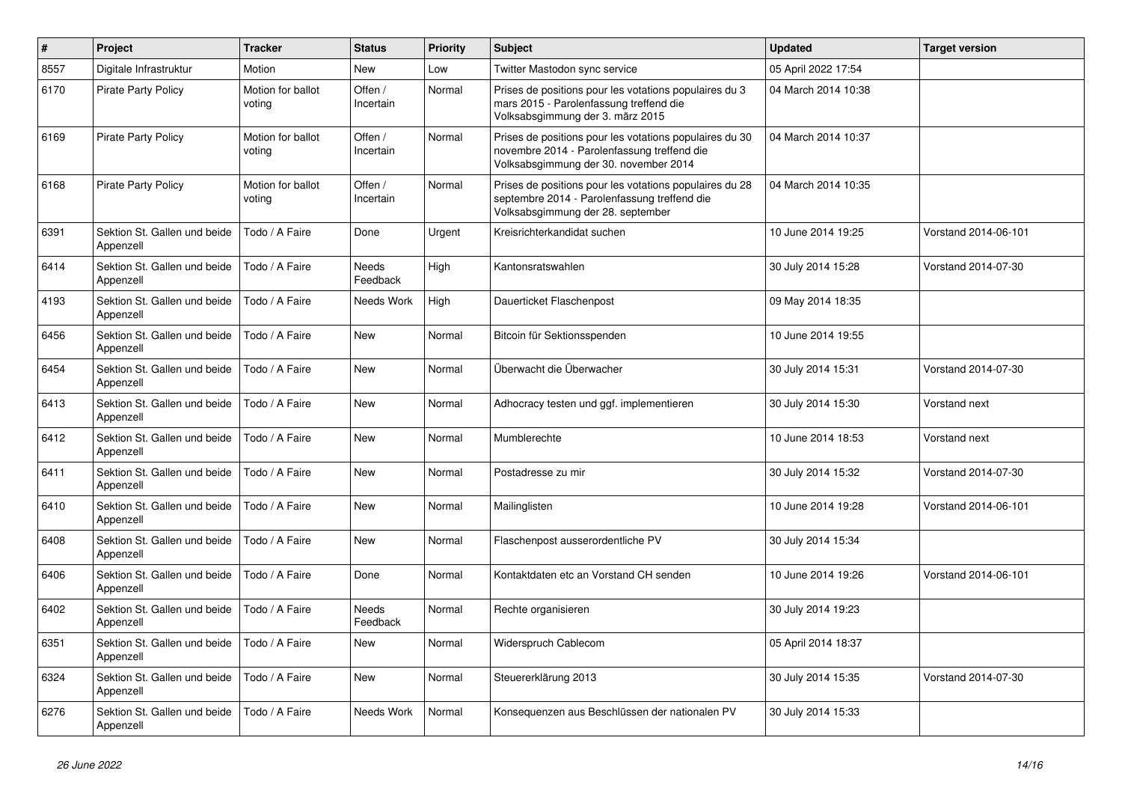| $\sharp$ | Project                                   | <b>Tracker</b>              | <b>Status</b>        | <b>Priority</b> | <b>Subject</b>                                                                                                                                  | <b>Updated</b>      | <b>Target version</b> |
|----------|-------------------------------------------|-----------------------------|----------------------|-----------------|-------------------------------------------------------------------------------------------------------------------------------------------------|---------------------|-----------------------|
| 8557     | Digitale Infrastruktur                    | Motion                      | <b>New</b>           | Low             | Twitter Mastodon sync service                                                                                                                   | 05 April 2022 17:54 |                       |
| 6170     | <b>Pirate Party Policy</b>                | Motion for ballot<br>voting | Offen /<br>Incertain | Normal          | Prises de positions pour les votations populaires du 3<br>mars 2015 - Parolenfassung treffend die<br>Volksabsgimmung der 3. märz 2015           | 04 March 2014 10:38 |                       |
| 6169     | Pirate Party Policy                       | Motion for ballot<br>voting | Offen /<br>Incertain | Normal          | Prises de positions pour les votations populaires du 30<br>novembre 2014 - Parolenfassung treffend die<br>Volksabsgimmung der 30. november 2014 | 04 March 2014 10:37 |                       |
| 6168     | <b>Pirate Party Policy</b>                | Motion for ballot<br>voting | Offen /<br>Incertain | Normal          | Prises de positions pour les votations populaires du 28<br>septembre 2014 - Parolenfassung treffend die<br>Volksabsgimmung der 28. september    | 04 March 2014 10:35 |                       |
| 6391     | Sektion St. Gallen und beide<br>Appenzell | Todo / A Faire              | Done                 | Urgent          | Kreisrichterkandidat suchen                                                                                                                     | 10 June 2014 19:25  | Vorstand 2014-06-101  |
| 6414     | Sektion St. Gallen und beide<br>Appenzell | Todo / A Faire              | Needs<br>Feedback    | High            | Kantonsratswahlen                                                                                                                               | 30 July 2014 15:28  | Vorstand 2014-07-30   |
| 4193     | Sektion St. Gallen und beide<br>Appenzell | Todo / A Faire              | Needs Work           | High            | Dauerticket Flaschenpost                                                                                                                        | 09 May 2014 18:35   |                       |
| 6456     | Sektion St. Gallen und beide<br>Appenzell | Todo / A Faire              | <b>New</b>           | Normal          | Bitcoin für Sektionsspenden                                                                                                                     | 10 June 2014 19:55  |                       |
| 6454     | Sektion St. Gallen und beide<br>Appenzell | Todo / A Faire              | <b>New</b>           | Normal          | Überwacht die Überwacher                                                                                                                        | 30 July 2014 15:31  | Vorstand 2014-07-30   |
| 6413     | Sektion St. Gallen und beide<br>Appenzell | Todo / A Faire              | New                  | Normal          | Adhocracy testen und ggf. implementieren                                                                                                        | 30 July 2014 15:30  | Vorstand next         |
| 6412     | Sektion St. Gallen und beide<br>Appenzell | Todo / A Faire              | New                  | Normal          | Mumblerechte                                                                                                                                    | 10 June 2014 18:53  | Vorstand next         |
| 6411     | Sektion St. Gallen und beide<br>Appenzell | Todo / A Faire              | <b>New</b>           | Normal          | Postadresse zu mir                                                                                                                              | 30 July 2014 15:32  | Vorstand 2014-07-30   |
| 6410     | Sektion St. Gallen und beide<br>Appenzell | Todo / A Faire              | <b>New</b>           | Normal          | Mailinglisten                                                                                                                                   | 10 June 2014 19:28  | Vorstand 2014-06-101  |
| 6408     | Sektion St. Gallen und beide<br>Appenzell | Todo / A Faire              | New                  | Normal          | Flaschenpost ausserordentliche PV                                                                                                               | 30 July 2014 15:34  |                       |
| 6406     | Sektion St. Gallen und beide<br>Appenzell | Todo / A Faire              | Done                 | Normal          | Kontaktdaten etc an Vorstand CH senden                                                                                                          | 10 June 2014 19:26  | Vorstand 2014-06-101  |
| 6402     | Sektion St. Gallen und beide<br>Appenzell | Todo / A Faire              | Needs<br>Feedback    | Normal          | Rechte organisieren                                                                                                                             | 30 July 2014 19:23  |                       |
| 6351     | Sektion St. Gallen und beide<br>Appenzell | Todo / A Faire              | <b>New</b>           | Normal          | Widerspruch Cablecom                                                                                                                            | 05 April 2014 18:37 |                       |
| 6324     | Sektion St. Gallen und beide<br>Appenzell | Todo / A Faire              | New                  | Normal          | Steuererklärung 2013                                                                                                                            | 30 July 2014 15:35  | Vorstand 2014-07-30   |
| 6276     | Sektion St. Gallen und beide<br>Appenzell | Todo / A Faire              | Needs Work           | Normal          | Konseguenzen aus Beschlüssen der nationalen PV                                                                                                  | 30 July 2014 15:33  |                       |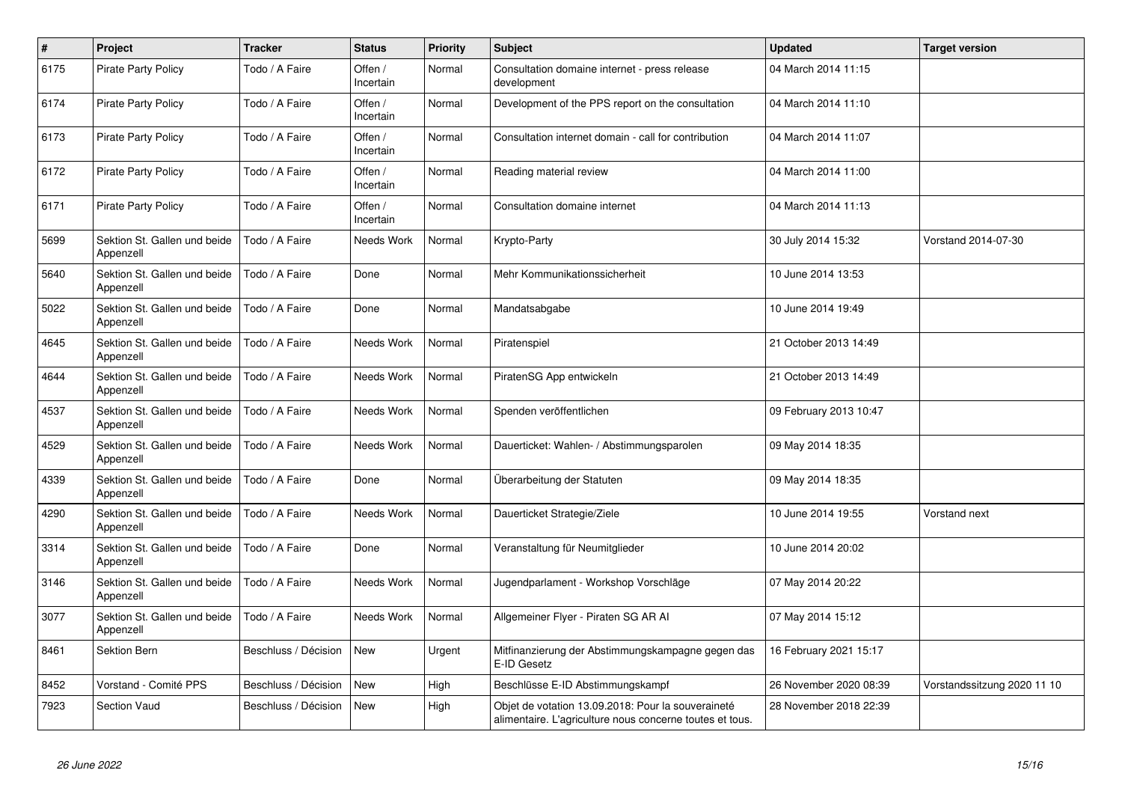| $\#$ | Project                                   | <b>Tracker</b>       | <b>Status</b>        | <b>Priority</b> | <b>Subject</b>                                                                                                 | <b>Updated</b>         | <b>Target version</b>       |
|------|-------------------------------------------|----------------------|----------------------|-----------------|----------------------------------------------------------------------------------------------------------------|------------------------|-----------------------------|
| 6175 | <b>Pirate Party Policy</b>                | Todo / A Faire       | Offen /<br>Incertain | Normal          | Consultation domaine internet - press release<br>development                                                   | 04 March 2014 11:15    |                             |
| 6174 | <b>Pirate Party Policy</b>                | Todo / A Faire       | Offen /<br>Incertain | Normal          | Development of the PPS report on the consultation                                                              | 04 March 2014 11:10    |                             |
| 6173 | <b>Pirate Party Policy</b>                | Todo / A Faire       | Offen /<br>Incertain | Normal          | Consultation internet domain - call for contribution                                                           | 04 March 2014 11:07    |                             |
| 6172 | <b>Pirate Party Policy</b>                | Todo / A Faire       | Offen /<br>Incertain | Normal          | Reading material review                                                                                        | 04 March 2014 11:00    |                             |
| 6171 | <b>Pirate Party Policy</b>                | Todo / A Faire       | Offen /<br>Incertain | Normal          | Consultation domaine internet                                                                                  | 04 March 2014 11:13    |                             |
| 5699 | Sektion St. Gallen und beide<br>Appenzell | Todo / A Faire       | Needs Work           | Normal          | Krypto-Party                                                                                                   | 30 July 2014 15:32     | Vorstand 2014-07-30         |
| 5640 | Sektion St. Gallen und beide<br>Appenzell | Todo / A Faire       | Done                 | Normal          | Mehr Kommunikationssicherheit                                                                                  | 10 June 2014 13:53     |                             |
| 5022 | Sektion St. Gallen und beide<br>Appenzell | Todo / A Faire       | Done                 | Normal          | Mandatsabgabe                                                                                                  | 10 June 2014 19:49     |                             |
| 4645 | Sektion St. Gallen und beide<br>Appenzell | Todo / A Faire       | Needs Work           | Normal          | Piratenspiel                                                                                                   | 21 October 2013 14:49  |                             |
| 4644 | Sektion St. Gallen und beide<br>Appenzell | Todo / A Faire       | Needs Work           | Normal          | PiratenSG App entwickeln                                                                                       | 21 October 2013 14:49  |                             |
| 4537 | Sektion St. Gallen und beide<br>Appenzell | Todo / A Faire       | Needs Work           | Normal          | Spenden veröffentlichen                                                                                        | 09 February 2013 10:47 |                             |
| 4529 | Sektion St. Gallen und beide<br>Appenzell | Todo / A Faire       | Needs Work           | Normal          | Dauerticket: Wahlen- / Abstimmungsparolen                                                                      | 09 May 2014 18:35      |                             |
| 4339 | Sektion St. Gallen und beide<br>Appenzell | Todo / A Faire       | Done                 | Normal          | Überarbeitung der Statuten                                                                                     | 09 May 2014 18:35      |                             |
| 4290 | Sektion St. Gallen und beide<br>Appenzell | Todo / A Faire       | Needs Work           | Normal          | Dauerticket Strategie/Ziele                                                                                    | 10 June 2014 19:55     | Vorstand next               |
| 3314 | Sektion St. Gallen und beide<br>Appenzell | Todo / A Faire       | Done                 | Normal          | Veranstaltung für Neumitglieder                                                                                | 10 June 2014 20:02     |                             |
| 3146 | Sektion St. Gallen und beide<br>Appenzell | Todo / A Faire       | Needs Work           | Normal          | Jugendparlament - Workshop Vorschläge                                                                          | 07 May 2014 20:22      |                             |
| 3077 | Sektion St. Gallen und beide<br>Appenzell | Todo / A Faire       | Needs Work           | Normal          | Allgemeiner Flyer - Piraten SG AR Al                                                                           | 07 May 2014 15:12      |                             |
| 8461 | Sektion Bern                              | Beschluss / Décision | New                  | Urgent          | Mitfinanzierung der Abstimmungskampagne gegen das<br>E-ID Gesetz                                               | 16 February 2021 15:17 |                             |
| 8452 | Vorstand - Comité PPS                     | Beschluss / Décision | <b>New</b>           | High            | Beschlüsse E-ID Abstimmungskampf                                                                               | 26 November 2020 08:39 | Vorstandssitzung 2020 11 10 |
| 7923 | <b>Section Vaud</b>                       | Beschluss / Décision | New                  | High            | Objet de votation 13.09.2018: Pour la souveraineté<br>alimentaire. L'agriculture nous concerne toutes et tous. | 28 November 2018 22:39 |                             |